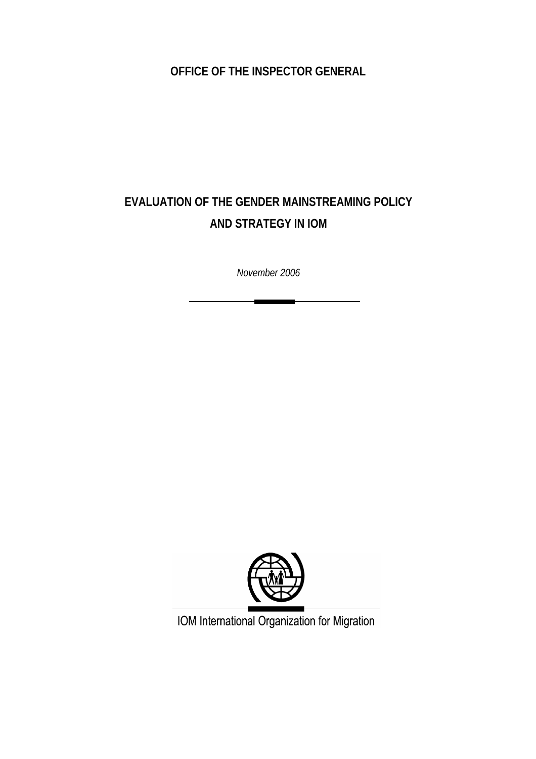**OFFICE OF THE INSPECTOR GENERAL** 

# **EVALUATION OF THE GENDER MAINSTREAMING POLICY AND STRATEGY IN IOM**

*November 2006* 



IOM International Organization for Migration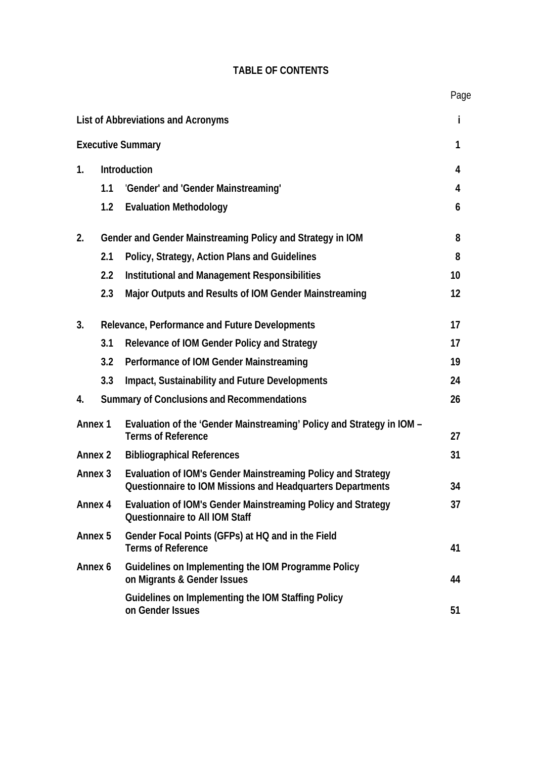|  | <b>TABLE OF CONTENTS</b> |
|--|--------------------------|
|--|--------------------------|

|    |     |                                     | י שי |
|----|-----|-------------------------------------|------|
|    |     | List of Abbreviations and Acronyms  |      |
|    |     | <b>Executive Summary</b>            |      |
| 1. |     | <b>Introduction</b>                 | 4    |
|    | 1.1 | 'Gender' and 'Gender Mainstreaming' | 4    |
|    | 1.2 | <b>Evaluation Methodology</b>       | 6    |
|    |     |                                     |      |

# **2. Gender and Gender Mainstreaming Policy and Strategy in IOM 8 2.1 Policy, Strategy, Action Plans and Guidelines 8 2.2 Institutional and Management Responsibilities 10 2.3 Major Outputs and Results of IOM Gender Mainstreaming 12**

| 3.                 |     | <b>Relevance, Performance and Future Developments</b>                                                                      | 17 |
|--------------------|-----|----------------------------------------------------------------------------------------------------------------------------|----|
|                    | 3.1 | Relevance of IOM Gender Policy and Strategy                                                                                | 17 |
|                    | 3.2 | Performance of IOM Gender Mainstreaming                                                                                    | 19 |
|                    | 3.3 | Impact, Sustainability and Future Developments                                                                             | 24 |
| 4.                 |     | <b>Summary of Conclusions and Recommendations</b>                                                                          | 26 |
| <b>Annex 1</b>     |     | Evaluation of the 'Gender Mainstreaming' Policy and Strategy in IOM -<br><b>Terms of Reference</b>                         | 27 |
| <b>Annex 2</b>     |     | <b>Bibliographical References</b>                                                                                          | 31 |
| Annex <sub>3</sub> |     | Evaluation of IOM's Gender Mainstreaming Policy and Strategy<br>Questionnaire to IOM Missions and Headquarters Departments | 34 |
| Annex 4            |     | Evaluation of IOM's Gender Mainstreaming Policy and Strategy<br><b>Questionnaire to All IOM Staff</b>                      | 37 |
| Annex 5            |     | Gender Focal Points (GFPs) at HQ and in the Field<br><b>Terms of Reference</b>                                             | 41 |
| Annex 6            |     | Guidelines on Implementing the IOM Programme Policy<br>on Migrants & Gender Issues                                         | 44 |
|                    |     | Guidelines on Implementing the IOM Staffing Policy<br>on Gender Issues                                                     | 51 |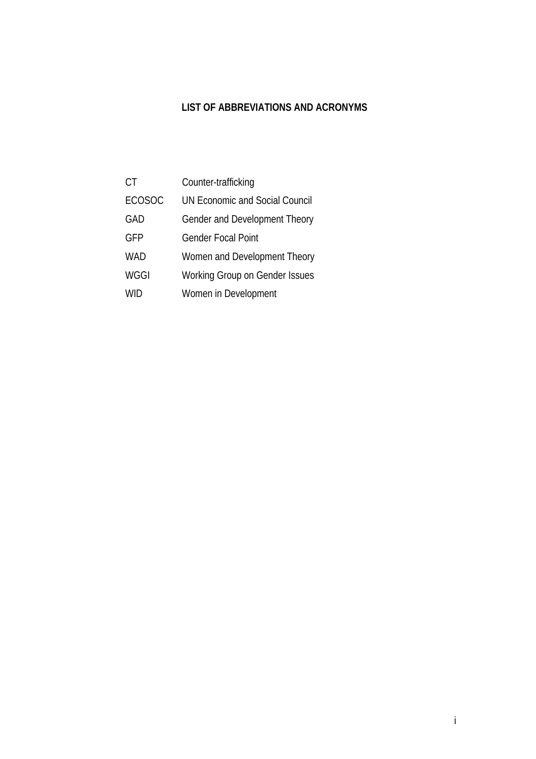# **LIST OF ABBREVIATIONS AND ACRONYMS**

| СT            | Counter-trafficking                   |
|---------------|---------------------------------------|
| <b>ECOSOC</b> | <b>UN Economic and Social Council</b> |
| GAD           | Gender and Development Theory         |
| GFP           | Gender Focal Point                    |
| <b>WAD</b>    | Women and Development Theory          |
| WGGI          | Working Group on Gender Issues        |
| <b>WID</b>    | Women in Development                  |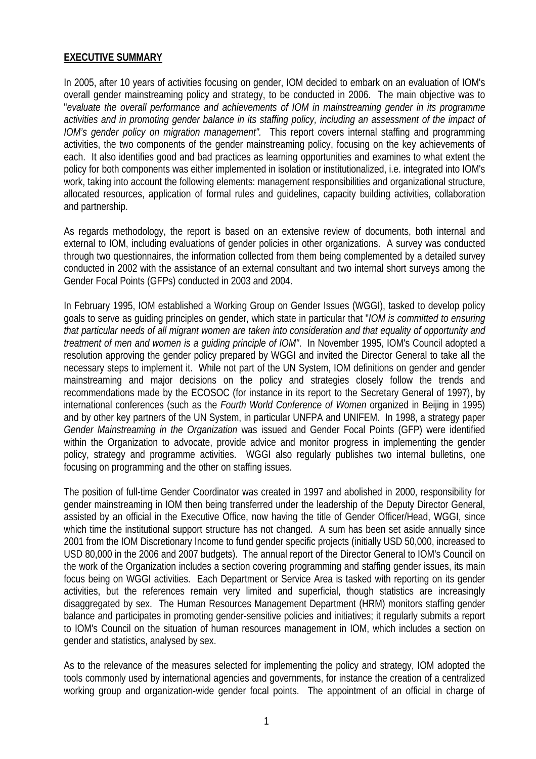# **EXECUTIVE SUMMARY**

In 2005, after 10 years of activities focusing on gender, IOM decided to embark on an evaluation of IOM's overall gender mainstreaming policy and strategy, to be conducted in 2006. The main objective was to "*evaluate the overall performance and achievements of IOM in mainstreaming gender in its programme*  activities and in promoting gender balance in its staffing policy, including an assessment of the impact of *IOM's gender policy on migration management".* This report covers internal staffing and programming activities, the two components of the gender mainstreaming policy, focusing on the key achievements of each. It also identifies good and bad practices as learning opportunities and examines to what extent the policy for both components was either implemented in isolation or institutionalized, i.e. integrated into IOM's work, taking into account the following elements: management responsibilities and organizational structure, allocated resources, application of formal rules and guidelines, capacity building activities, collaboration and partnership.

As regards methodology, the report is based on an extensive review of documents, both internal and external to IOM, including evaluations of gender policies in other organizations. A survey was conducted through two questionnaires, the information collected from them being complemented by a detailed survey conducted in 2002 with the assistance of an external consultant and two internal short surveys among the Gender Focal Points (GFPs) conducted in 2003 and 2004.

In February 1995, IOM established a Working Group on Gender Issues (WGGI), tasked to develop policy goals to serve as guiding principles on gender, which state in particular that "*IOM is committed to ensuring that particular needs of all migrant women are taken into consideration and that equality of opportunity and treatment of men and women is a guiding principle of IOM"*. In November 1995, IOM's Council adopted a resolution approving the gender policy prepared by WGGI and invited the Director General to take all the necessary steps to implement it. While not part of the UN System, IOM definitions on gender and gender mainstreaming and major decisions on the policy and strategies closely follow the trends and recommendations made by the ECOSOC (for instance in its report to the Secretary General of 1997), by international conferences (such as the *Fourth World Conference of Women* organized in Beijing in 1995) and by other key partners of the UN System, in particular UNFPA and UNIFEM. In 1998, a strategy paper *Gender Mainstreaming in the Organization* was issued and Gender Focal Points (GFP) were identified within the Organization to advocate, provide advice and monitor progress in implementing the gender policy, strategy and programme activities. WGGI also regularly publishes two internal bulletins, one focusing on programming and the other on staffing issues.

The position of full-time Gender Coordinator was created in 1997 and abolished in 2000, responsibility for gender mainstreaming in IOM then being transferred under the leadership of the Deputy Director General, assisted by an official in the Executive Office, now having the title of Gender Officer/Head, WGGI, since which time the institutional support structure has not changed. A sum has been set aside annually since 2001 from the IOM Discretionary Income to fund gender specific projects (initially USD 50,000, increased to USD 80,000 in the 2006 and 2007 budgets). The annual report of the Director General to IOM's Council on the work of the Organization includes a section covering programming and staffing gender issues, its main focus being on WGGI activities. Each Department or Service Area is tasked with reporting on its gender activities, but the references remain very limited and superficial, though statistics are increasingly disaggregated by sex. The Human Resources Management Department (HRM) monitors staffing gender balance and participates in promoting gender-sensitive policies and initiatives; it regularly submits a report to IOM's Council on the situation of human resources management in IOM, which includes a section on gender and statistics, analysed by sex.

As to the relevance of the measures selected for implementing the policy and strategy, IOM adopted the tools commonly used by international agencies and governments, for instance the creation of a centralized working group and organization-wide gender focal points. The appointment of an official in charge of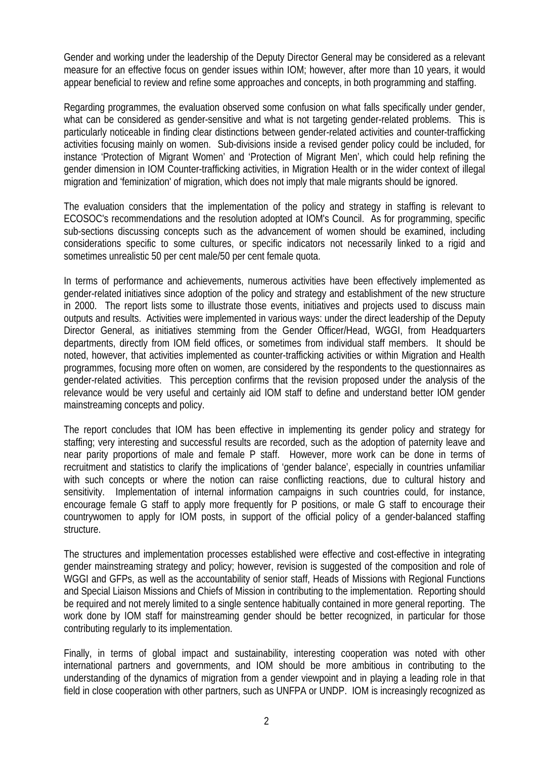Gender and working under the leadership of the Deputy Director General may be considered as a relevant measure for an effective focus on gender issues within IOM; however, after more than 10 years, it would appear beneficial to review and refine some approaches and concepts, in both programming and staffing.

Regarding programmes, the evaluation observed some confusion on what falls specifically under gender, what can be considered as gender-sensitive and what is not targeting gender-related problems. This is particularly noticeable in finding clear distinctions between gender-related activities and counter-trafficking activities focusing mainly on women. Sub-divisions inside a revised gender policy could be included, for instance 'Protection of Migrant Women' and 'Protection of Migrant Men', which could help refining the gender dimension in IOM Counter-trafficking activities, in Migration Health or in the wider context of illegal migration and 'feminization' of migration, which does not imply that male migrants should be ignored.

The evaluation considers that the implementation of the policy and strategy in staffing is relevant to ECOSOC's recommendations and the resolution adopted at IOM's Council. As for programming, specific sub-sections discussing concepts such as the advancement of women should be examined, including considerations specific to some cultures, or specific indicators not necessarily linked to a rigid and sometimes unrealistic 50 per cent male/50 per cent female quota.

In terms of performance and achievements, numerous activities have been effectively implemented as gender-related initiatives since adoption of the policy and strategy and establishment of the new structure in 2000. The report lists some to illustrate those events, initiatives and projects used to discuss main outputs and results. Activities were implemented in various ways: under the direct leadership of the Deputy Director General, as initiatives stemming from the Gender Officer/Head, WGGI, from Headquarters departments, directly from IOM field offices, or sometimes from individual staff members. It should be noted, however, that activities implemented as counter-trafficking activities or within Migration and Health programmes, focusing more often on women, are considered by the respondents to the questionnaires as gender-related activities. This perception confirms that the revision proposed under the analysis of the relevance would be very useful and certainly aid IOM staff to define and understand better IOM gender mainstreaming concepts and policy.

The report concludes that IOM has been effective in implementing its gender policy and strategy for staffing; very interesting and successful results are recorded, such as the adoption of paternity leave and near parity proportions of male and female P staff. However, more work can be done in terms of recruitment and statistics to clarify the implications of 'gender balance', especially in countries unfamiliar with such concepts or where the notion can raise conflicting reactions, due to cultural history and sensitivity. Implementation of internal information campaigns in such countries could, for instance, encourage female G staff to apply more frequently for P positions, or male G staff to encourage their countrywomen to apply for IOM posts, in support of the official policy of a gender-balanced staffing structure.

The structures and implementation processes established were effective and cost-effective in integrating gender mainstreaming strategy and policy; however, revision is suggested of the composition and role of WGGI and GFPs, as well as the accountability of senior staff, Heads of Missions with Regional Functions and Special Liaison Missions and Chiefs of Mission in contributing to the implementation. Reporting should be required and not merely limited to a single sentence habitually contained in more general reporting. The work done by IOM staff for mainstreaming gender should be better recognized, in particular for those contributing regularly to its implementation.

Finally, in terms of global impact and sustainability, interesting cooperation was noted with other international partners and governments, and IOM should be more ambitious in contributing to the understanding of the dynamics of migration from a gender viewpoint and in playing a leading role in that field in close cooperation with other partners, such as UNFPA or UNDP. IOM is increasingly recognized as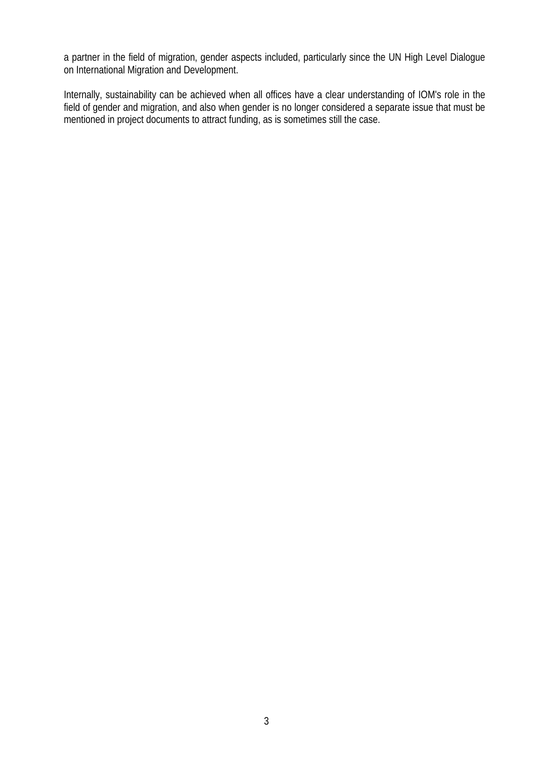a partner in the field of migration, gender aspects included, particularly since the UN High Level Dialogue on International Migration and Development.

Internally, sustainability can be achieved when all offices have a clear understanding of IOM's role in the field of gender and migration, and also when gender is no longer considered a separate issue that must be mentioned in project documents to attract funding, as is sometimes still the case.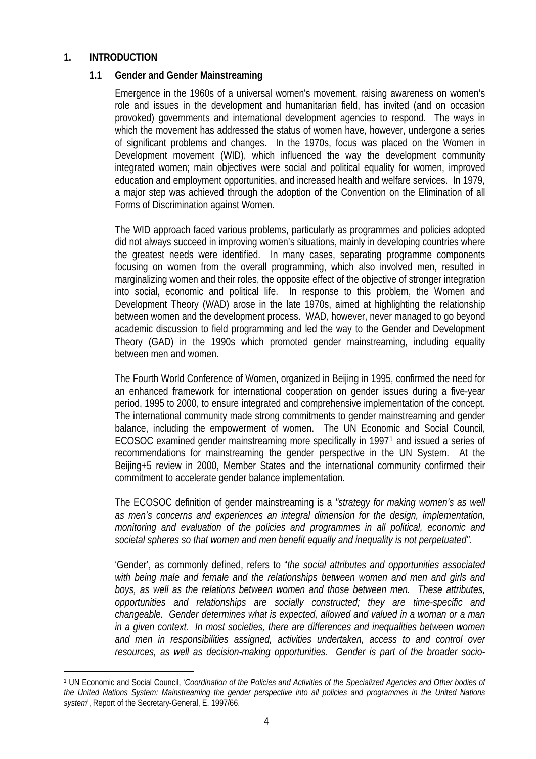### **1. INTRODUCTION**

 $\overline{a}$ 

### **1.1 Gender and Gender Mainstreaming**

Emergence in the 1960s of a universal women's movement, raising awareness on women's role and issues in the development and humanitarian field, has invited (and on occasion provoked) governments and international development agencies to respond. The ways in which the movement has addressed the status of women have, however, undergone a series of significant problems and changes. In the 1970s, focus was placed on the Women in Development movement (WID), which influenced the way the development community integrated women; main objectives were social and political equality for women, improved education and employment opportunities, and increased health and welfare services. In 1979, a major step was achieved through the adoption of the Convention on the Elimination of all Forms of Discrimination against Women.

The WID approach faced various problems, particularly as programmes and policies adopted did not always succeed in improving women's situations, mainly in developing countries where the greatest needs were identified. In many cases, separating programme components focusing on women from the overall programming, which also involved men, resulted in marginalizing women and their roles, the opposite effect of the objective of stronger integration into social, economic and political life. In response to this problem, the Women and Development Theory (WAD) arose in the late 1970s, aimed at highlighting the relationship between women and the development process. WAD, however, never managed to go beyond academic discussion to field programming and led the way to the Gender and Development Theory (GAD) in the 1990s which promoted gender mainstreaming, including equality between men and women.

The Fourth World Conference of Women, organized in Beijing in 1995, confirmed the need for an enhanced framework for international cooperation on gender issues during a five-year period, 1995 to 2000, to ensure integrated and comprehensive implementation of the concept. The international community made strong commitments to gender mainstreaming and gender balance, including the empowerment of women. The UN Economic and Social Council, ECOSOC examined gender mainstreaming more specifically in 1997[1](#page-6-0) and issued a series of recommendations for mainstreaming the gender perspective in the UN System. At the Beijing+5 review in 2000, Member States and the international community confirmed their commitment to accelerate gender balance implementation.

The ECOSOC definition of gender mainstreaming is a *"strategy for making women's as well as men's concerns and experiences an integral dimension for the design, implementation, monitoring and evaluation of the policies and programmes in all political, economic and societal spheres so that women and men benefit equally and inequality is not perpetuated".*

'Gender', as commonly defined, refers to "*the social attributes and opportunities associated with being male and female and the relationships between women and men and girls and boys, as well as the relations between women and those between men. These attributes, opportunities and relationships are socially constructed; they are time-specific and changeable. Gender determines what is expected, allowed and valued in a woman or a man in a given context. In most societies, there are differences and inequalities between women and men in responsibilities assigned, activities undertaken, access to and control over resources, as well as decision-making opportunities. Gender is part of the broader socio-*

<span id="page-6-0"></span><sup>1</sup> UN Economic and Social Council, '*Coordination of the Policies and Activities of the Specialized Agencies and Other bodies of the United Nations System: Mainstreaming the gender perspective into all policies and programmes in the United Nations system*', Report of the Secretary-General, E. 1997/66.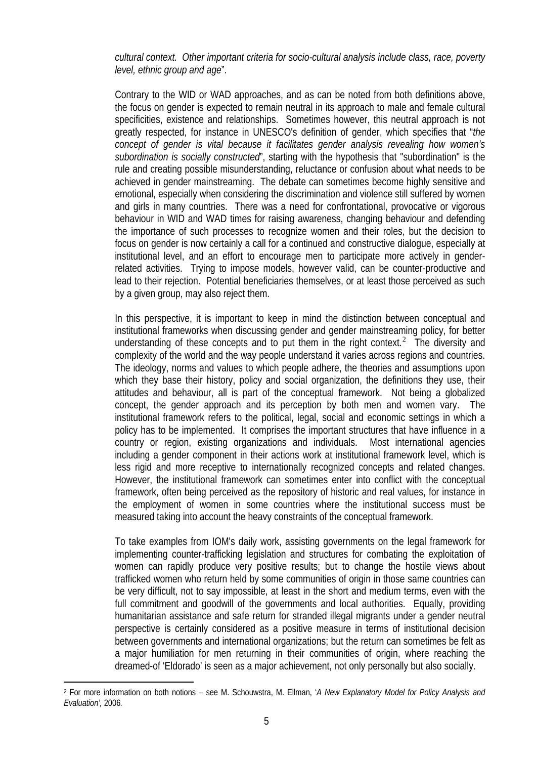### *cultural context. Other important criteria for socio-cultural analysis include class, race, poverty level, ethnic group and age*".

Contrary to the WID or WAD approaches, and as can be noted from both definitions above, the focus on gender is expected to remain neutral in its approach to male and female cultural specificities, existence and relationships. Sometimes however, this neutral approach is not greatly respected, for instance in UNESCO's definition of gender, which specifies that "*the concept of gender is vital because it facilitates gender analysis revealing how women's subordination is socially constructed*", starting with the hypothesis that "subordination" is the rule and creating possible misunderstanding, reluctance or confusion about what needs to be achieved in gender mainstreaming. The debate can sometimes become highly sensitive and emotional, especially when considering the discrimination and violence still suffered by women and girls in many countries. There was a need for confrontational, provocative or vigorous behaviour in WID and WAD times for raising awareness, changing behaviour and defending the importance of such processes to recognize women and their roles, but the decision to focus on gender is now certainly a call for a continued and constructive dialogue, especially at institutional level, and an effort to encourage men to participate more actively in genderrelated activities. Trying to impose models, however valid, can be counter-productive and lead to their rejection. Potential beneficiaries themselves, or at least those perceived as such by a given group, may also reject them.

In this perspective, it is important to keep in mind the distinction between conceptual and institutional frameworks when discussing gender and gender mainstreaming policy, for better understanding of these concepts and to put them in the right context.<sup>[2](#page-7-0)</sup> The diversity and complexity of the world and the way people understand it varies across regions and countries. The ideology, norms and values to which people adhere, the theories and assumptions upon which they base their history, policy and social organization, the definitions they use, their attitudes and behaviour, all is part of the conceptual framework. Not being a globalized concept, the gender approach and its perception by both men and women vary. The institutional framework refers to the political, legal, social and economic settings in which a policy has to be implemented. It comprises the important structures that have influence in a country or region, existing organizations and individuals. Most international agencies including a gender component in their actions work at institutional framework level, which is less rigid and more receptive to internationally recognized concepts and related changes. However, the institutional framework can sometimes enter into conflict with the conceptual framework, often being perceived as the repository of historic and real values, for instance in the employment of women in some countries where the institutional success must be measured taking into account the heavy constraints of the conceptual framework.

To take examples from IOM's daily work, assisting governments on the legal framework for implementing counter-trafficking legislation and structures for combating the exploitation of women can rapidly produce very positive results; but to change the hostile views about trafficked women who return held by some communities of origin in those same countries can be very difficult, not to say impossible, at least in the short and medium terms, even with the full commitment and goodwill of the governments and local authorities. Equally, providing humanitarian assistance and safe return for stranded illegal migrants under a gender neutral perspective is certainly considered as a positive measure in terms of institutional decision between governments and international organizations; but the return can sometimes be felt as a major humiliation for men returning in their communities of origin, where reaching the dreamed-of 'Eldorado' is seen as a major achievement, not only personally but also socially.

 $\overline{a}$ 

<span id="page-7-0"></span><sup>2</sup> For more information on both notions – see M. Schouwstra, M. Ellman, '*A New Explanatory Model for Policy Analysis and Evaluation',* 2006*.*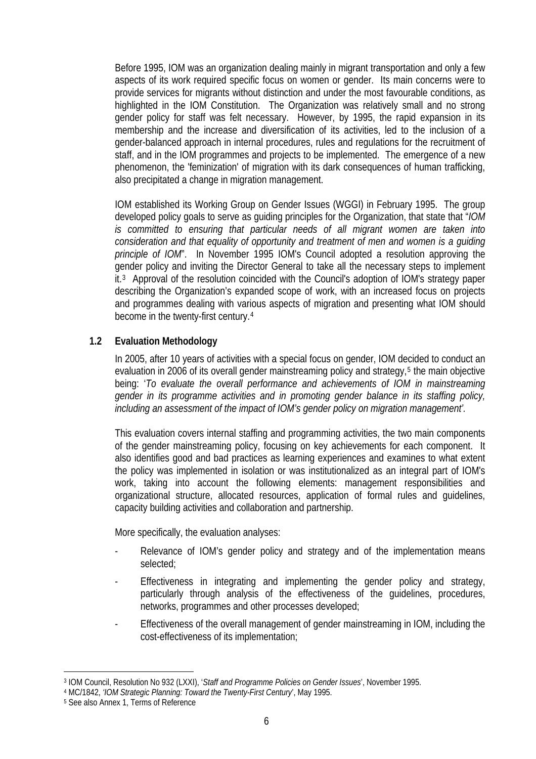Before 1995, IOM was an organization dealing mainly in migrant transportation and only a few aspects of its work required specific focus on women or gender. Its main concerns were to provide services for migrants without distinction and under the most favourable conditions, as highlighted in the IOM Constitution. The Organization was relatively small and no strong gender policy for staff was felt necessary. However, by 1995, the rapid expansion in its membership and the increase and diversification of its activities, led to the inclusion of a gender-balanced approach in internal procedures, rules and regulations for the recruitment of staff, and in the IOM programmes and projects to be implemented. The emergence of a new phenomenon, the 'feminization' of migration with its dark consequences of human trafficking, also precipitated a change in migration management.

IOM established its Working Group on Gender Issues (WGGI) in February 1995. The group developed policy goals to serve as guiding principles for the Organization, that state that "*IOM is committed to ensuring that particular needs of all migrant women are taken into consideration and that equality of opportunity and treatment of men and women is a guiding principle of IOM*". In November 1995 IOM's Council adopted a resolution approving the gender policy and inviting the Director General to take all the necessary steps to implement it.[3](#page-8-0) Approval of the resolution coincided with the Council's adoption of IOM's strategy paper describing the Organization's expanded scope of work, with an increased focus on projects and programmes dealing with various aspects of migration and presenting what IOM should become in the twenty-first century.[4](#page-8-1)

# **1.2 Evaluation Methodology**

In 2005, after 10 years of activities with a special focus on gender, IOM decided to conduct an evaluation in 2006 of its overall gender mainstreaming policy and strategy,<sup>[5](#page-8-2)</sup> the main objective being: '*To evaluate the overall performance and achievements of IOM in mainstreaming gender in its programme activities and in promoting gender balance in its staffing policy, including an assessment of the impact of IOM's gender policy on migration management'.* 

This evaluation covers internal staffing and programming activities, the two main components of the gender mainstreaming policy, focusing on key achievements for each component. It also identifies good and bad practices as learning experiences and examines to what extent the policy was implemented in isolation or was institutionalized as an integral part of IOM's work, taking into account the following elements: management responsibilities and organizational structure, allocated resources, application of formal rules and guidelines, capacity building activities and collaboration and partnership.

More specifically, the evaluation analyses:

- Relevance of IOM's gender policy and strategy and of the implementation means selected;
- Effectiveness in integrating and implementing the gender policy and strategy, particularly through analysis of the effectiveness of the guidelines, procedures, networks, programmes and other processes developed;
- Effectiveness of the overall management of gender mainstreaming in IOM, including the cost-effectiveness of its implementation;

 $\overline{a}$ 3 IOM Council, Resolution No 932 (LXXI), '*Staff and Programme Policies on Gender Issues*', November 1995.

<span id="page-8-1"></span><span id="page-8-0"></span><sup>4</sup> MC/1842, *'IOM Strategic Planning: Toward the Twenty-First Century*', May 1995.

<span id="page-8-2"></span><sup>5</sup> See also Annex 1, Terms of Reference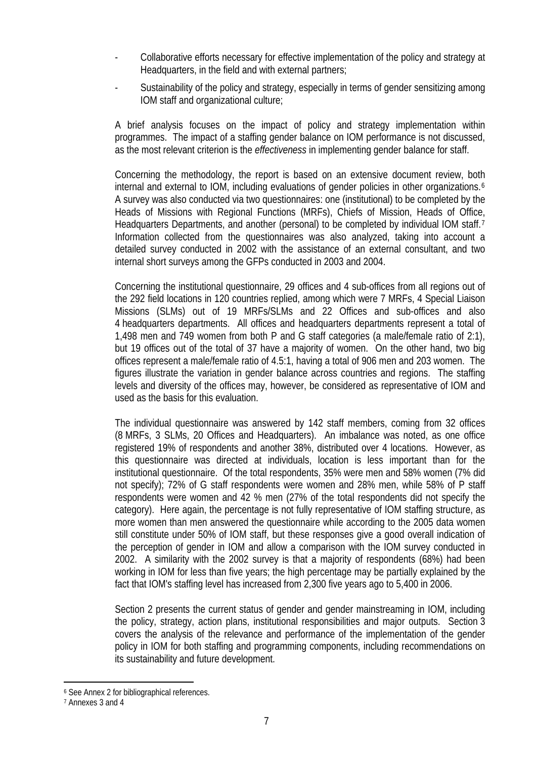- Collaborative efforts necessary for effective implementation of the policy and strategy at Headquarters, in the field and with external partners;
- Sustainability of the policy and strategy, especially in terms of gender sensitizing among IOM staff and organizational culture;

A brief analysis focuses on the impact of policy and strategy implementation within programmes. The impact of a staffing gender balance on IOM performance is not discussed, as the most relevant criterion is the *effectiveness* in implementing gender balance for staff.

Concerning the methodology, the report is based on an extensive document review, both internal and external to IOM, including evaluations of gender policies in other organizations.<sup>[6](#page-9-0)</sup> A survey was also conducted via two questionnaires: one (institutional) to be completed by the Heads of Missions with Regional Functions (MRFs), Chiefs of Mission, Heads of Office, Headquarters Departments, and another (personal) to be completed by individual IOM staff.[7](#page-9-1) Information collected from the questionnaires was also analyzed, taking into account a detailed survey conducted in 2002 with the assistance of an external consultant, and two internal short surveys among the GFPs conducted in 2003 and 2004.

Concerning the institutional questionnaire, 29 offices and 4 sub-offices from all regions out of the 292 field locations in 120 countries replied, among which were 7 MRFs, 4 Special Liaison Missions (SLMs) out of 19 MRFs/SLMs and 22 Offices and sub-offices and also 4 headquarters departments. All offices and headquarters departments represent a total of 1,498 men and 749 women from both P and G staff categories (a male/female ratio of 2:1), but 19 offices out of the total of 37 have a majority of women. On the other hand, two big offices represent a male/female ratio of 4.5:1, having a total of 906 men and 203 women. The figures illustrate the variation in gender balance across countries and regions. The staffing levels and diversity of the offices may, however, be considered as representative of IOM and used as the basis for this evaluation.

The individual questionnaire was answered by 142 staff members, coming from 32 offices (8 MRFs, 3 SLMs, 20 Offices and Headquarters). An imbalance was noted, as one office registered 19% of respondents and another 38%, distributed over 4 locations. However, as this questionnaire was directed at individuals, location is less important than for the institutional questionnaire. Of the total respondents, 35% were men and 58% women (7% did not specify); 72% of G staff respondents were women and 28% men, while 58% of P staff respondents were women and 42 % men (27% of the total respondents did not specify the category). Here again, the percentage is not fully representative of IOM staffing structure, as more women than men answered the questionnaire while according to the 2005 data women still constitute under 50% of IOM staff, but these responses give a good overall indication of the perception of gender in IOM and allow a comparison with the IOM survey conducted in 2002. A similarity with the 2002 survey is that a majority of respondents (68%) had been working in IOM for less than five years; the high percentage may be partially explained by the fact that IOM's staffing level has increased from 2,300 five years ago to 5,400 in 2006.

Section 2 presents the current status of gender and gender mainstreaming in IOM, including the policy, strategy, action plans, institutional responsibilities and major outputs. Section 3 covers the analysis of the relevance and performance of the implementation of the gender policy in IOM for both staffing and programming components, including recommendations on its sustainability and future development.

 $\overline{a}$ 

<span id="page-9-0"></span><sup>6</sup> See Annex 2 for bibliographical references.

<span id="page-9-1"></span><sup>7</sup> Annexes 3 and 4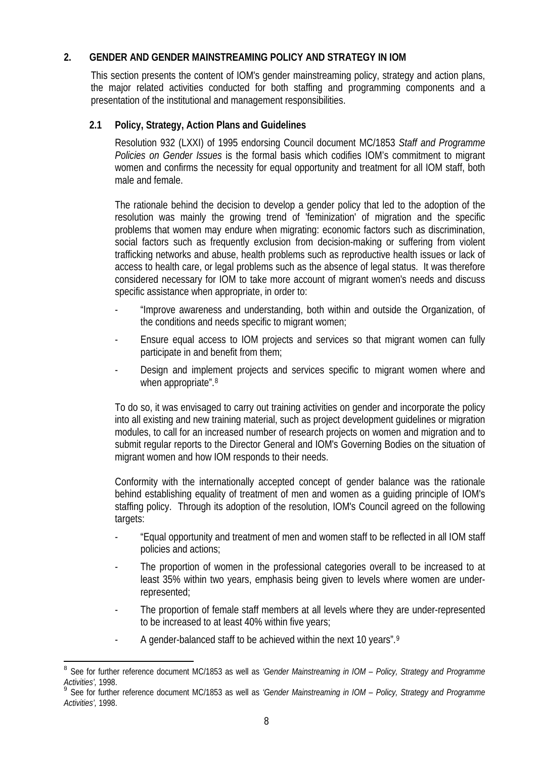# **2. GENDER AND GENDER MAINSTREAMING POLICY AND STRATEGY IN IOM**

This section presents the content of IOM's gender mainstreaming policy, strategy and action plans, the major related activities conducted for both staffing and programming components and a presentation of the institutional and management responsibilities.

# **2.1 Policy, Strategy, Action Plans and Guidelines**

Resolution 932 (LXXI) of 1995 endorsing Council document MC/1853 *Staff and Programme Policies on Gender Issues* is the formal basis which codifies IOM's commitment to migrant women and confirms the necessity for equal opportunity and treatment for all IOM staff, both male and female.

The rationale behind the decision to develop a gender policy that led to the adoption of the resolution was mainly the growing trend of 'feminization' of migration and the specific problems that women may endure when migrating: economic factors such as discrimination, social factors such as frequently exclusion from decision-making or suffering from violent trafficking networks and abuse, health problems such as reproductive health issues or lack of access to health care, or legal problems such as the absence of legal status. It was therefore considered necessary for IOM to take more account of migrant women's needs and discuss specific assistance when appropriate, in order to:

- "Improve awareness and understanding, both within and outside the Organization, of the conditions and needs specific to migrant women;
- Ensure equal access to IOM projects and services so that migrant women can fully participate in and benefit from them;
- Design and implement projects and services specific to migrant women where and when appropriate".<sup>[8](#page-10-0)</sup>

To do so, it was envisaged to carry out training activities on gender and incorporate the policy into all existing and new training material, such as project development guidelines or migration modules, to call for an increased number of research projects on women and migration and to submit regular reports to the Director General and IOM's Governing Bodies on the situation of migrant women and how IOM responds to their needs.

Conformity with the internationally accepted concept of gender balance was the rationale behind establishing equality of treatment of men and women as a guiding principle of IOM's staffing policy. Through its adoption of the resolution, IOM's Council agreed on the following targets:

- "Equal opportunity and treatment of men and women staff to be reflected in all IOM staff policies and actions;
- The proportion of women in the professional categories overall to be increased to at least 35% within two years, emphasis being given to levels where women are underrepresented;
- The proportion of female staff members at all levels where they are under-represented to be increased to at least 40% within five years;
- A gender-balanced staff to be achieved within the next 10 years".<sup>[9](#page-10-1)</sup>

<span id="page-10-0"></span> $\overline{a}$ <sup>8</sup> See for further reference document MC/1853 as well as *'Gender Mainstreaming in IOM – Policy, Strategy and Programme Activities',* 1998.

<span id="page-10-1"></span><sup>9</sup> See for further reference document MC/1853 as well as *'Gender Mainstreaming in IOM – Policy, Strategy and Programme Activities',* 1998.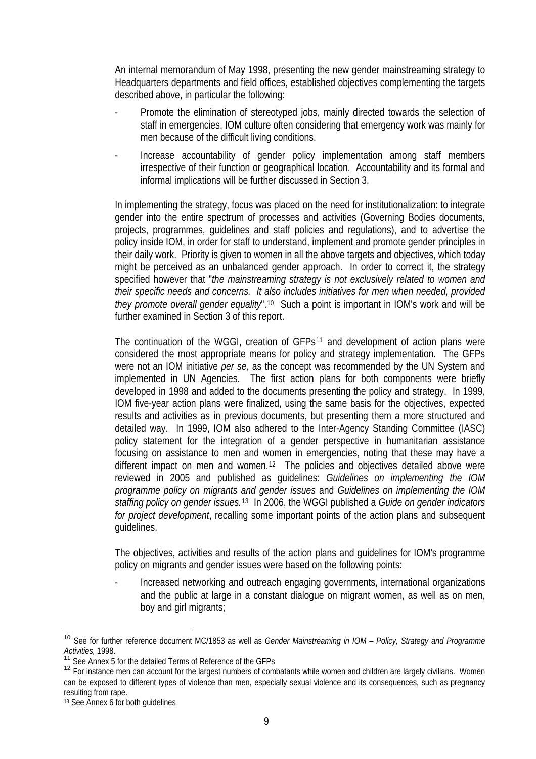An internal memorandum of May 1998, presenting the new gender mainstreaming strategy to Headquarters departments and field offices, established objectives complementing the targets described above, in particular the following:

- Promote the elimination of stereotyped jobs, mainly directed towards the selection of staff in emergencies, IOM culture often considering that emergency work was mainly for men because of the difficult living conditions.
- Increase accountability of gender policy implementation among staff members irrespective of their function or geographical location. Accountability and its formal and informal implications will be further discussed in Section 3.

In implementing the strategy, focus was placed on the need for institutionalization: to integrate gender into the entire spectrum of processes and activities (Governing Bodies documents, projects, programmes, guidelines and staff policies and regulations), and to advertise the policy inside IOM, in order for staff to understand, implement and promote gender principles in their daily work. Priority is given to women in all the above targets and objectives, which today might be perceived as an unbalanced gender approach. In order to correct it, the strategy specified however that "*the mainstreaming strategy is not exclusively related to women and their specific needs and concerns. It also includes initiatives for men when needed, provided they promote overall gender equality*".<sup>[10](#page-11-0)</sup> Such a point is important in IOM's work and will be further examined in Section 3 of this report.

The continuation of the WGGI, creation of GFPs<sup>[11](#page-11-1)</sup> and development of action plans were considered the most appropriate means for policy and strategy implementation. The GFPs were not an IOM initiative *per se*, as the concept was recommended by the UN System and implemented in UN Agencies. The first action plans for both components were briefly developed in 1998 and added to the documents presenting the policy and strategy. In 1999, IOM five-year action plans were finalized, using the same basis for the objectives, expected results and activities as in previous documents, but presenting them a more structured and detailed way. In 1999, IOM also adhered to the Inter-Agency Standing Committee (IASC) policy statement for the integration of a gender perspective in humanitarian assistance focusing on assistance to men and women in emergencies, noting that these may have a different impact on men and women.<sup>[12](#page-11-2)</sup> The policies and objectives detailed above were reviewed in 2005 and published as guidelines: *Guidelines on implementing the IOM programme policy on migrants and gender issues* and *Guidelines on implementing the IOM staffing policy on gender issues.*[13](#page-11-3) In 2006, the WGGI published a *Guide on gender indicators for project development*, recalling some important points of the action plans and subsequent guidelines.

The objectives, activities and results of the action plans and guidelines for IOM's programme policy on migrants and gender issues were based on the following points:

Increased networking and outreach engaging governments, international organizations and the public at large in a constant dialogue on migrant women, as well as on men, boy and girl migrants;

<span id="page-11-0"></span> $\overline{a}$ <sup>10</sup> See for further reference document MC/1853 as well as *Gender Mainstreaming in IOM – Policy, Strategy and Programme Activities,* 1998.

<sup>&</sup>lt;sup>1</sup> See Annex 5 for the detailed Terms of Reference of the GFPs

<span id="page-11-2"></span><span id="page-11-1"></span><sup>&</sup>lt;sup>12</sup> For instance men can account for the largest numbers of combatants while women and children are largely civilians. Women can be exposed to different types of violence than men, especially sexual violence and its consequences, such as pregnancy resulting from rape.

<span id="page-11-3"></span><sup>13</sup> See Annex 6 for both guidelines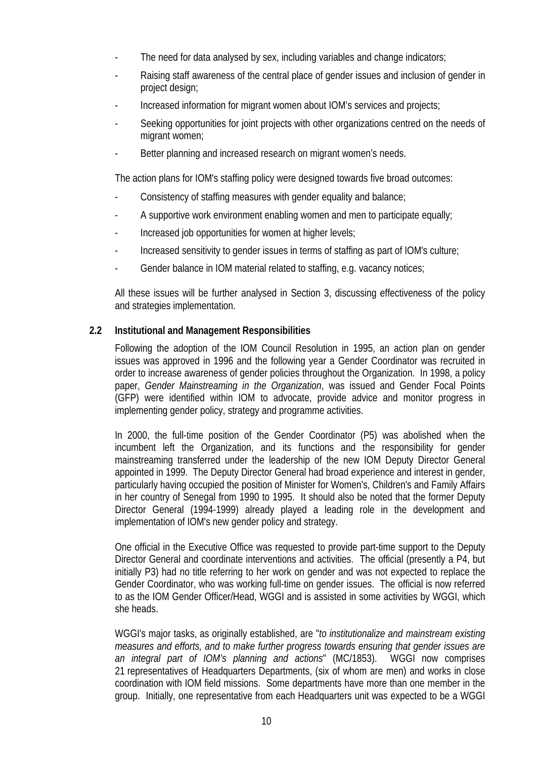- The need for data analysed by sex, including variables and change indicators;
- Raising staff awareness of the central place of gender issues and inclusion of gender in project design;
- Increased information for migrant women about IOM's services and projects;
- Seeking opportunities for joint projects with other organizations centred on the needs of migrant women;
- Better planning and increased research on migrant women's needs.

The action plans for IOM's staffing policy were designed towards five broad outcomes:

- Consistency of staffing measures with gender equality and balance;
- A supportive work environment enabling women and men to participate equally;
- Increased job opportunities for women at higher levels;
- Increased sensitivity to gender issues in terms of staffing as part of IOM's culture;
- Gender balance in IOM material related to staffing, e.g. vacancy notices;

All these issues will be further analysed in Section 3, discussing effectiveness of the policy and strategies implementation.

# **2.2 Institutional and Management Responsibilities**

Following the adoption of the IOM Council Resolution in 1995, an action plan on gender issues was approved in 1996 and the following year a Gender Coordinator was recruited in order to increase awareness of gender policies throughout the Organization. In 1998, a policy paper, *Gender Mainstreaming in the Organization*, was issued and Gender Focal Points (GFP) were identified within IOM to advocate, provide advice and monitor progress in implementing gender policy, strategy and programme activities.

In 2000, the full-time position of the Gender Coordinator (P5) was abolished when the incumbent left the Organization, and its functions and the responsibility for gender mainstreaming transferred under the leadership of the new IOM Deputy Director General appointed in 1999. The Deputy Director General had broad experience and interest in gender, particularly having occupied the position of Minister for Women's, Children's and Family Affairs in her country of Senegal from 1990 to 1995. It should also be noted that the former Deputy Director General (1994-1999) already played a leading role in the development and implementation of IOM's new gender policy and strategy.

One official in the Executive Office was requested to provide part-time support to the Deputy Director General and coordinate interventions and activities. The official (presently a P4, but initially P3) had no title referring to her work on gender and was not expected to replace the Gender Coordinator, who was working full-time on gender issues. The official is now referred to as the IOM Gender Officer/Head, WGGI and is assisted in some activities by WGGI, which she heads.

WGGI's major tasks, as originally established, are "*to institutionalize and mainstream existing measures and efforts, and to make further progress towards ensuring that gender issues are an integral part of IOM's planning and actions*" (MC/1853). WGGI now comprises 21 representatives of Headquarters Departments, (six of whom are men) and works in close coordination with IOM field missions. Some departments have more than one member in the group. Initially, one representative from each Headquarters unit was expected to be a WGGI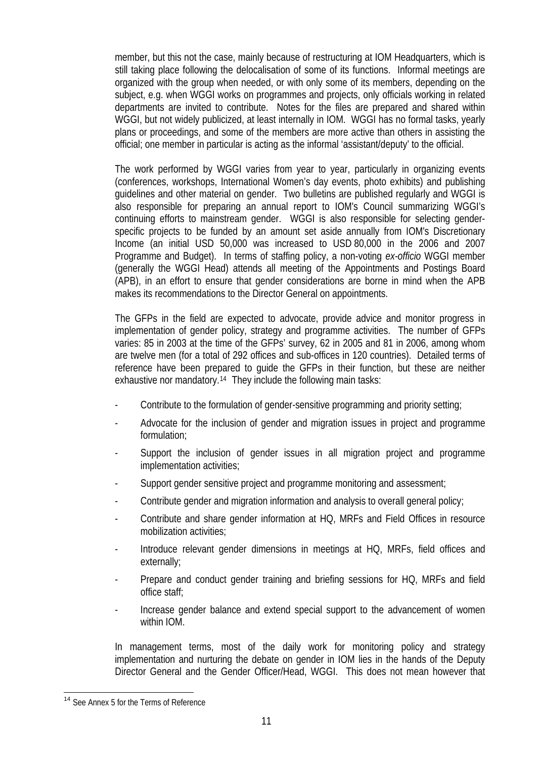member, but this not the case, mainly because of restructuring at IOM Headquarters, which is still taking place following the delocalisation of some of its functions. Informal meetings are organized with the group when needed, or with only some of its members, depending on the subject, e.g. when WGGI works on programmes and projects, only officials working in related departments are invited to contribute. Notes for the files are prepared and shared within WGGI, but not widely publicized, at least internally in IOM. WGGI has no formal tasks, yearly plans or proceedings, and some of the members are more active than others in assisting the official; one member in particular is acting as the informal 'assistant/deputy' to the official.

The work performed by WGGI varies from year to year, particularly in organizing events (conferences, workshops, International Women's day events, photo exhibits) and publishing guidelines and other material on gender. Two bulletins are published regularly and WGGI is also responsible for preparing an annual report to IOM's Council summarizing WGGI's continuing efforts to mainstream gender. WGGI is also responsible for selecting genderspecific projects to be funded by an amount set aside annually from IOM's Discretionary Income (an initial USD 50,000 was increased to USD 80,000 in the 2006 and 2007 Programme and Budget). In terms of staffing policy, a non-voting *ex-officio* WGGI member (generally the WGGI Head) attends all meeting of the Appointments and Postings Board (APB), in an effort to ensure that gender considerations are borne in mind when the APB makes its recommendations to the Director General on appointments.

The GFPs in the field are expected to advocate, provide advice and monitor progress in implementation of gender policy, strategy and programme activities. The number of GFPs varies: 85 in 2003 at the time of the GFPs' survey, 62 in 2005 and 81 in 2006, among whom are twelve men (for a total of 292 offices and sub-offices in 120 countries). Detailed terms of reference have been prepared to guide the GFPs in their function, but these are neither exhaustive nor mandatory.[14](#page-13-0) They include the following main tasks:

- Contribute to the formulation of gender-sensitive programming and priority setting;
- Advocate for the inclusion of gender and migration issues in project and programme formulation;
- Support the inclusion of gender issues in all migration project and programme implementation activities;
- Support gender sensitive project and programme monitoring and assessment;
- Contribute gender and migration information and analysis to overall general policy;
- Contribute and share gender information at HQ, MRFs and Field Offices in resource mobilization activities;
- Introduce relevant gender dimensions in meetings at HQ, MRFs, field offices and externally;
- Prepare and conduct gender training and briefing sessions for HQ, MRFs and field office staff;
- Increase gender balance and extend special support to the advancement of women within IOM.

In management terms, most of the daily work for monitoring policy and strategy implementation and nurturing the debate on gender in IOM lies in the hands of the Deputy Director General and the Gender Officer/Head, WGGI. This does not mean however that

 $\overline{a}$ 

<span id="page-13-0"></span><sup>&</sup>lt;sup>14</sup> See Annex 5 for the Terms of Reference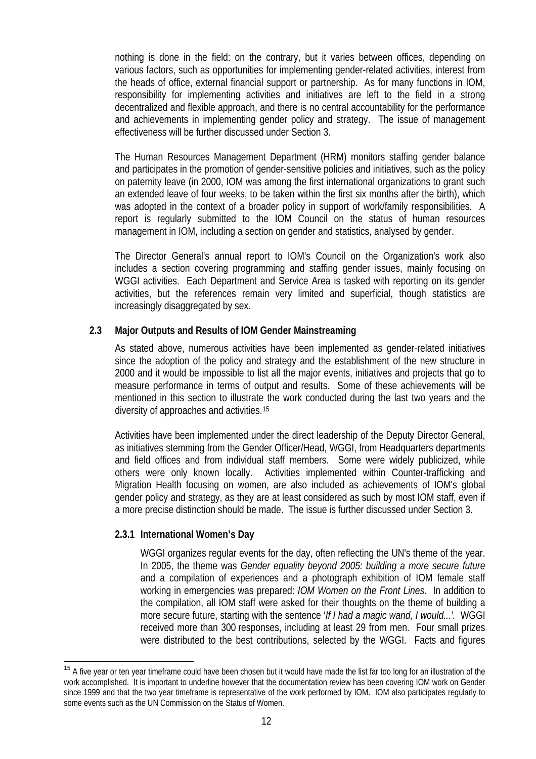nothing is done in the field: on the contrary, but it varies between offices, depending on various factors, such as opportunities for implementing gender-related activities, interest from the heads of office, external financial support or partnership. As for many functions in IOM, responsibility for implementing activities and initiatives are left to the field in a strong decentralized and flexible approach, and there is no central accountability for the performance and achievements in implementing gender policy and strategy. The issue of management effectiveness will be further discussed under Section 3.

The Human Resources Management Department (HRM) monitors staffing gender balance and participates in the promotion of gender-sensitive policies and initiatives, such as the policy on paternity leave (in 2000, IOM was among the first international organizations to grant such an extended leave of four weeks, to be taken within the first six months after the birth), which was adopted in the context of a broader policy in support of work/family responsibilities. A report is regularly submitted to the IOM Council on the status of human resources management in IOM, including a section on gender and statistics, analysed by gender.

The Director General's annual report to IOM's Council on the Organization's work also includes a section covering programming and staffing gender issues, mainly focusing on WGGI activities. Each Department and Service Area is tasked with reporting on its gender activities, but the references remain very limited and superficial, though statistics are increasingly disaggregated by sex.

### **2.3 Major Outputs and Results of IOM Gender Mainstreaming**

As stated above, numerous activities have been implemented as gender-related initiatives since the adoption of the policy and strategy and the establishment of the new structure in 2000 and it would be impossible to list all the major events, initiatives and projects that go to measure performance in terms of output and results. Some of these achievements will be mentioned in this section to illustrate the work conducted during the last two years and the diversity of approaches and activities.[15](#page-14-0)

Activities have been implemented under the direct leadership of the Deputy Director General, as initiatives stemming from the Gender Officer/Head, WGGI, from Headquarters departments and field offices and from individual staff members. Some were widely publicized, while others were only known locally. Activities implemented within Counter-trafficking and Migration Health focusing on women, are also included as achievements of IOM's global gender policy and strategy, as they are at least considered as such by most IOM staff, even if a more precise distinction should be made. The issue is further discussed under Section 3.

### **2.3.1 International Women's Day**

 $\overline{a}$ 

WGGI organizes regular events for the day, often reflecting the UN's theme of the year. In 2005, the theme was *Gender equality beyond 2005: building a more secure future* and a compilation of experiences and a photograph exhibition of IOM female staff working in emergencies was prepared: *IOM Women on the Front Lines*. In addition to the compilation, all IOM staff were asked for their thoughts on the theme of building a more secure future, starting with the sentence '*If I had a magic wand, I would...'.* WGGI received more than 300 responses, including at least 29 from men. Four small prizes were distributed to the best contributions, selected by the WGGI.Facts and figures

<span id="page-14-0"></span><sup>&</sup>lt;sup>15</sup> A five year or ten year timeframe could have been chosen but it would have made the list far too long for an illustration of the work accomplished. It is important to underline however that the documentation review has been covering IOM work on Gender since 1999 and that the two year timeframe is representative of the work performed by IOM. IOM also participates regularly to some events such as the UN Commission on the Status of Women.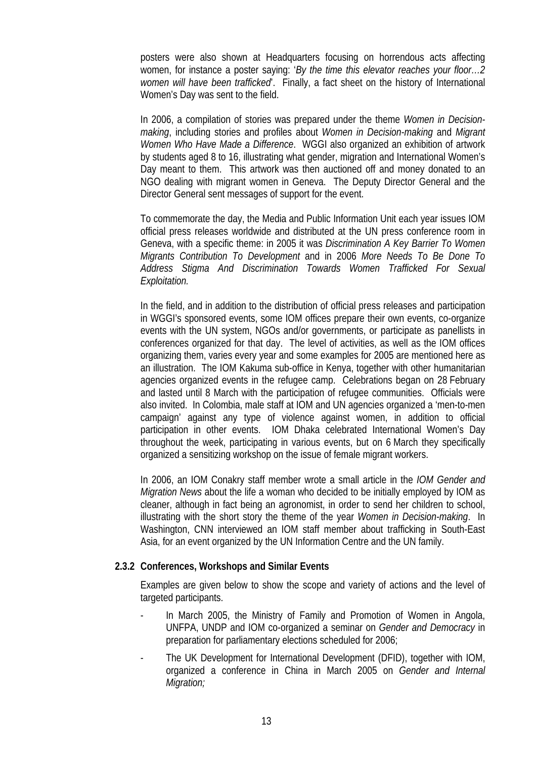posters were also shown at Headquarters focusing on horrendous acts affecting women, for instance a poster saying: '*By the time this elevator reaches your floor…2 women will have been trafficked*'. Finally, a fact sheet on the history of International Women's Day was sent to the field.

In 2006, a compilation of stories was prepared under the theme *Women in Decisionmaking*, including stories and profiles about *Women in Decision-making* and *Migrant Women Who Have Made a Difference*. WGGI also organized an exhibition of artwork by students aged 8 to 16, illustrating what gender, migration and International Women's Day meant to them. This artwork was then auctioned off and money donated to an NGO dealing with migrant women in Geneva. The Deputy Director General and the Director General sent messages of support for the event.

To commemorate the day, the Media and Public Information Unit each year issues IOM official press releases worldwide and distributed at the UN press conference room in Geneva, with a specific theme: in 2005 it was *Discrimination A Key Barrier To Women Migrants Contribution To Development* and in 2006 *More Needs To Be Done To Address Stigma And Discrimination Towards Women Trafficked For Sexual Exploitation.*

In the field, and in addition to the distribution of official press releases and participation in WGGI's sponsored events, some IOM offices prepare their own events, co-organize events with the UN system, NGOs and/or governments, or participate as panellists in conferences organized for that day. The level of activities, as well as the IOM offices organizing them, varies every year and some examples for 2005 are mentioned here as an illustration. The IOM Kakuma sub-office in Kenya, together with other humanitarian agencies organized events in the refugee camp. Celebrations began on 28 February and lasted until 8 March with the participation of refugee communities. Officials were also invited. In Colombia, male staff at IOM and UN agencies organized a 'men-to-men campaign' against any type of violence against women, in addition to official participation in other events. IOM Dhaka celebrated International Women's Day throughout the week, participating in various events, but on 6 March they specifically organized a sensitizing workshop on the issue of female migrant workers.

In 2006, an IOM Conakry staff member wrote a small article in the *IOM Gender and Migration News* about the life a woman who decided to be initially employed by IOM as cleaner, although in fact being an agronomist, in order to send her children to school, illustrating with the short story the theme of the year *Women in Decision-making*. In Washington, CNN interviewed an IOM staff member about trafficking in South-East Asia, for an event organized by the UN Information Centre and the UN family.

### **2.3.2 Conferences, Workshops and Similar Events**

Examples are given below to show the scope and variety of actions and the level of targeted participants.

- In March 2005, the Ministry of Family and Promotion of Women in Angola, UNFPA, UNDP and IOM co-organized a seminar on *Gender and Democracy* in preparation for parliamentary elections scheduled for 2006;
- The UK Development for International Development (DFID), together with IOM, organized a conference in China in March 2005 on *Gender and Internal Migration;*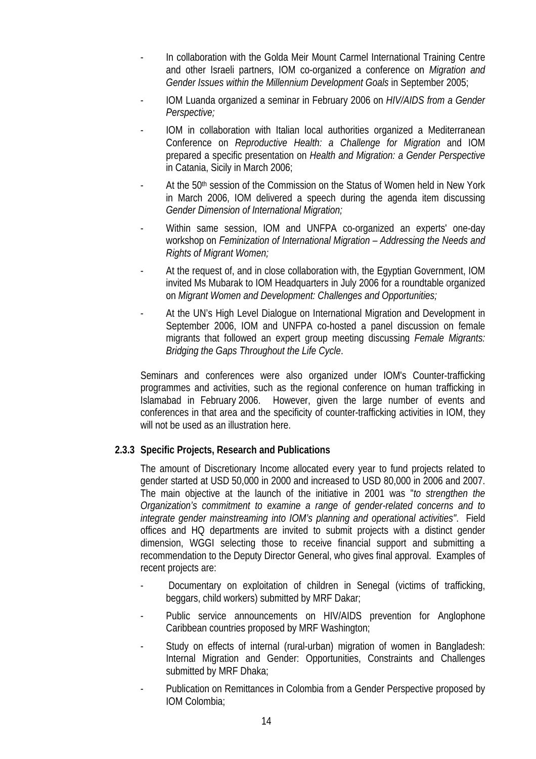- In collaboration with the Golda Meir Mount Carmel International Training Centre and other Israeli partners, IOM co-organized a conference on *Migration and Gender Issues within the Millennium Development Goals* in September 2005;
- IOM Luanda organized a seminar in February 2006 on *HIV/AIDS from a Gender Perspective;*
- IOM in collaboration with Italian local authorities organized a Mediterranean Conference on *Reproductive Health: a Challenge for Migration* and IOM prepared a specific presentation on *Health and Migration: a Gender Perspective* in Catania, Sicily in March 2006;
- At the 50<sup>th</sup> session of the Commission on the Status of Women held in New York in March 2006, IOM delivered a speech during the agenda item discussing *Gender Dimension of International Migration;*
- Within same session, IOM and UNFPA co-organized an experts' one-day workshop on *Feminization of International Migration – Addressing the Needs and Rights of Migrant Women;*
- At the request of, and in close collaboration with, the Egyptian Government, IOM invited Ms Mubarak to IOM Headquarters in July 2006 for a roundtable organized on *Migrant Women and Development: Challenges and Opportunities;*
- At the UN's High Level Dialogue on International Migration and Development in September 2006, IOM and UNFPA co-hosted a panel discussion on female migrants that followed an expert group meeting discussing *Female Migrants: Bridging the Gaps Throughout the Life Cycle*.

Seminars and conferences were also organized under IOM's Counter-trafficking programmes and activities, such as the regional conference on human trafficking in Islamabad in February 2006. However, given the large number of events and conferences in that area and the specificity of counter-trafficking activities in IOM, they will not be used as an illustration here.

# **2.3.3 Specific Projects, Research and Publications**

The amount of Discretionary Income allocated every year to fund projects related to gender started at USD 50,000 in 2000 and increased to USD 80,000 in 2006 and 2007. The main objective at the launch of the initiative in 2001 was "*to strengthen the Organization's commitment to examine a range of gender-related concerns and to integrate gender mainstreaming into IOM's planning and operational activities"*. Field offices and HQ departments are invited to submit projects with a distinct gender dimension, WGGI selecting those to receive financial support and submitting a recommendation to the Deputy Director General, who gives final approval. Examples of recent projects are:

- Documentary on exploitation of children in Senegal (victims of trafficking, beggars, child workers) submitted by MRF Dakar;
- Public service announcements on HIV/AIDS prevention for Anglophone Caribbean countries proposed by MRF Washington;
- Study on effects of internal (rural-urban) migration of women in Bangladesh: Internal Migration and Gender: Opportunities, Constraints and Challenges submitted by MRF Dhaka;
- Publication on Remittances in Colombia from a Gender Perspective proposed by IOM Colombia;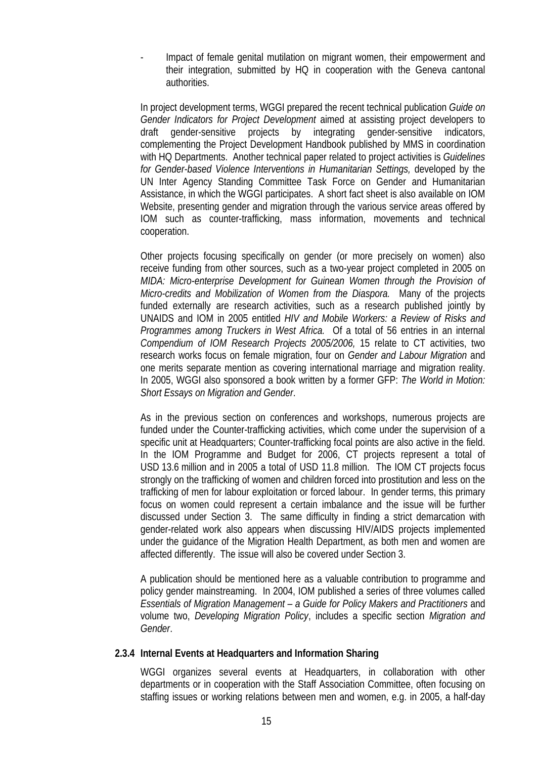- Impact of female genital mutilation on migrant women, their empowerment and their integration, submitted by HQ in cooperation with the Geneva cantonal authorities.

In project development terms, WGGI prepared the recent technical publication *Guide on Gender Indicators for Project Development* aimed at assisting project developers to draft gender-sensitive projects by integrating gender-sensitive indicators, complementing the Project Development Handbook published by MMS in coordination with HQ Departments. Another technical paper related to project activities is *Guidelines for Gender-based Violence Interventions in Humanitarian Settings, developed by the* UN Inter Agency Standing Committee Task Force on Gender and Humanitarian Assistance, in which the WGGI participates. A short fact sheet is also available on IOM Website, presenting gender and migration through the various service areas offered by IOM such as counter-trafficking, mass information, movements and technical cooperation.

Other projects focusing specifically on gender (or more precisely on women) also receive funding from other sources, such as a two-year project completed in 2005 on *MIDA: Micro-enterprise Development for Guinean Women through the Provision of Micro-credits and Mobilization of Women from the Diaspora.* Many of the projects funded externally are research activities, such as a research published jointly by UNAIDS and IOM in 2005 entitled *HIV and Mobile Workers: a Review of Risks and Programmes among Truckers in West Africa.* Of a total of 56 entries in an internal *Compendium of IOM Research Projects 2005/2006,* 15 relate to CT activities, two research works focus on female migration, four on *Gender and Labour Migration* and one merits separate mention as covering international marriage and migration reality. In 2005, WGGI also sponsored a book written by a former GFP: *The World in Motion: Short Essays on Migration and Gender*.

As in the previous section on conferences and workshops, numerous projects are funded under the Counter-trafficking activities, which come under the supervision of a specific unit at Headquarters; Counter-trafficking focal points are also active in the field. In the IOM Programme and Budget for 2006, CT projects represent a total of USD 13.6 million and in 2005 a total of USD 11.8 million. The IOM CT projects focus strongly on the trafficking of women and children forced into prostitution and less on the trafficking of men for labour exploitation or forced labour. In gender terms, this primary focus on women could represent a certain imbalance and the issue will be further discussed under Section 3. The same difficulty in finding a strict demarcation with gender-related work also appears when discussing HIV/AIDS projects implemented under the guidance of the Migration Health Department, as both men and women are affected differently. The issue will also be covered under Section 3.

A publication should be mentioned here as a valuable contribution to programme and policy gender mainstreaming. In 2004, IOM published a series of three volumes called *Essentials of Migration Management – a Guide for Policy Makers and Practitioners* and volume two, *Developing Migration Policy*, includes a specific section *Migration and Gender*.

### **2.3.4 Internal Events at Headquarters and Information Sharing**

WGGI organizes several events at Headquarters, in collaboration with other departments or in cooperation with the Staff Association Committee, often focusing on staffing issues or working relations between men and women, e.g. in 2005, a half-day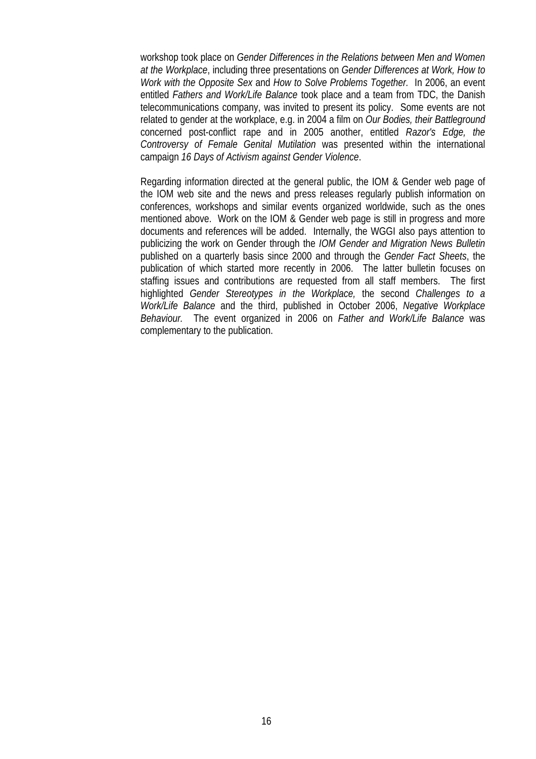workshop took place on *Gender Differences in the Relations between Men and Women at the Workplace*, including three presentations on *Gender Differences at Work, How to Work with the Opposite Sex* and *How to Solve Problems Together.* In 2006, an event entitled *Fathers and Work/Life Balance* took place and a team from TDC, the Danish telecommunications company, was invited to present its policy. Some events are not related to gender at the workplace, e.g. in 2004 a film on *Our Bodies, their Battleground* concerned post-conflict rape and in 2005 another, entitled *Razor's Edge, the Controversy of Female Genital Mutilation* was presented within the international campaign *16 Days of Activism against Gender Violence*.

Regarding information directed at the general public, the IOM & Gender web page of the IOM web site and the news and press releases regularly publish information on conferences, workshops and similar events organized worldwide, such as the ones mentioned above. Work on the IOM & Gender web page is still in progress and more documents and references will be added. Internally, the WGGI also pays attention to publicizing the work on Gender through the *IOM Gender and Migration News Bulletin*  published on a quarterly basis since 2000 and through the *Gender Fact Sheets*, the publication of which started more recently in 2006. The latter bulletin focuses on staffing issues and contributions are requested from all staff members. The first highlighted *Gender Stereotypes in the Workplace,* the second *Challenges to a Work/Life Balance* and the third, published in October 2006, *Negative Workplace Behaviour.* The event organized in 2006 on *Father and Work/Life Balance* was complementary to the publication.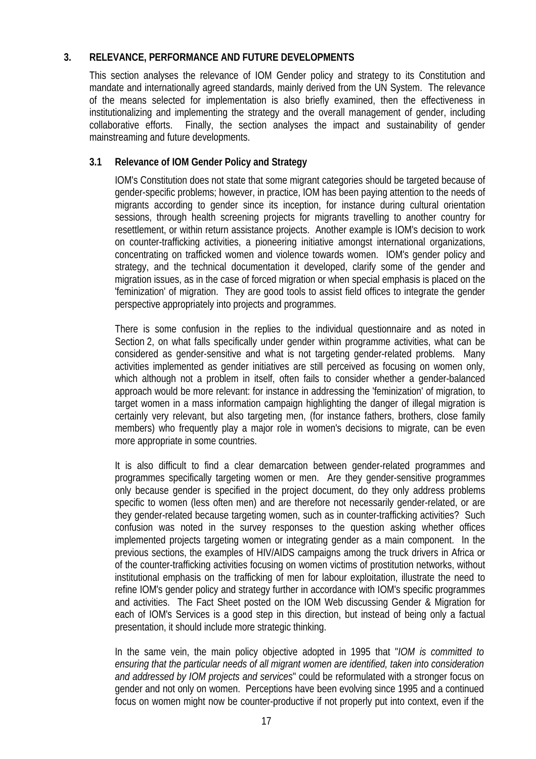# **3. RELEVANCE, PERFORMANCE AND FUTURE DEVELOPMENTS**

This section analyses the relevance of IOM Gender policy and strategy to its Constitution and mandate and internationally agreed standards, mainly derived from the UN System. The relevance of the means selected for implementation is also briefly examined, then the effectiveness in institutionalizing and implementing the strategy and the overall management of gender, including collaborative efforts. Finally, the section analyses the impact and sustainability of gender mainstreaming and future developments.

# **3.1 Relevance of IOM Gender Policy and Strategy**

IOM's Constitution does not state that some migrant categories should be targeted because of gender-specific problems; however, in practice, IOM has been paying attention to the needs of migrants according to gender since its inception, for instance during cultural orientation sessions, through health screening projects for migrants travelling to another country for resettlement, or within return assistance projects. Another example is IOM's decision to work on counter-trafficking activities, a pioneering initiative amongst international organizations, concentrating on trafficked women and violence towards women. IOM's gender policy and strategy, and the technical documentation it developed, clarify some of the gender and migration issues, as in the case of forced migration or when special emphasis is placed on the 'feminization' of migration. They are good tools to assist field offices to integrate the gender perspective appropriately into projects and programmes.

There is some confusion in the replies to the individual questionnaire and as noted in Section 2, on what falls specifically under gender within programme activities, what can be considered as gender-sensitive and what is not targeting gender-related problems. Many activities implemented as gender initiatives are still perceived as focusing on women only, which although not a problem in itself, often fails to consider whether a gender-balanced approach would be more relevant: for instance in addressing the 'feminization' of migration, to target women in a mass information campaign highlighting the danger of illegal migration is certainly very relevant, but also targeting men, (for instance fathers, brothers, close family members) who frequently play a major role in women's decisions to migrate, can be even more appropriate in some countries.

It is also difficult to find a clear demarcation between gender-related programmes and programmes specifically targeting women or men. Are they gender-sensitive programmes only because gender is specified in the project document, do they only address problems specific to women (less often men) and are therefore not necessarily gender-related, or are they gender-related because targeting women, such as in counter-trafficking activities? Such confusion was noted in the survey responses to the question asking whether offices implemented projects targeting women or integrating gender as a main component. In the previous sections, the examples of HIV/AIDS campaigns among the truck drivers in Africa or of the counter-trafficking activities focusing on women victims of prostitution networks, without institutional emphasis on the trafficking of men for labour exploitation, illustrate the need to refine IOM's gender policy and strategy further in accordance with IOM's specific programmes and activities. The Fact Sheet posted on the IOM Web discussing Gender & Migration for each of IOM's Services is a good step in this direction, but instead of being only a factual presentation, it should include more strategic thinking.

In the same vein, the main policy objective adopted in 1995 that "*IOM is committed to ensuring that the particular needs of all migrant women are identified, taken into consideration and addressed by IOM projects and services*" could be reformulated with a stronger focus on gender and not only on women. Perceptions have been evolving since 1995 and a continued focus on women might now be counter-productive if not properly put into context, even if the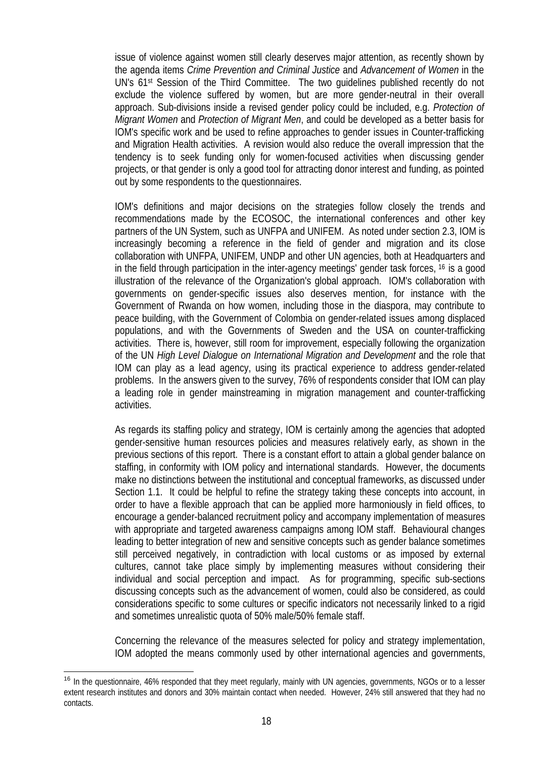issue of violence against women still clearly deserves major attention, as recently shown by the agenda items *Crime Prevention and Criminal Justice* and *Advancement of Women* in the UN's 61st Session of the Third Committee. The two guidelines published recently do not exclude the violence suffered by women, but are more gender-neutral in their overall approach. Sub-divisions inside a revised gender policy could be included, e.g. *Protection of Migrant Women* and *Protection of Migrant Men*, and could be developed as a better basis for IOM's specific work and be used to refine approaches to gender issues in Counter-trafficking and Migration Health activities. A revision would also reduce the overall impression that the tendency is to seek funding only for women-focused activities when discussing gender projects, or that gender is only a good tool for attracting donor interest and funding, as pointed out by some respondents to the questionnaires.

IOM's definitions and major decisions on the strategies follow closely the trends and recommendations made by the ECOSOC, the international conferences and other key partners of the UN System, such as UNFPA and UNIFEM. As noted under section 2.3, IOM is increasingly becoming a reference in the field of gender and migration and its close collaboration with UNFPA, UNIFEM, UNDP and other UN agencies, both at Headquarters and in the field through participation in the inter-agency meetings' gender task forces, [16](#page-20-0) is a good illustration of the relevance of the Organization's global approach. IOM's collaboration with governments on gender-specific issues also deserves mention, for instance with the Government of Rwanda on how women, including those in the diaspora, may contribute to peace building, with the Government of Colombia on gender-related issues among displaced populations, and with the Governments of Sweden and the USA on counter-trafficking activities. There is, however, still room for improvement, especially following the organization of the UN *High Level Dialogue on International Migration and Development* and the role that IOM can play as a lead agency, using its practical experience to address gender-related problems. In the answers given to the survey, 76% of respondents consider that IOM can play a leading role in gender mainstreaming in migration management and counter-trafficking activities.

As regards its staffing policy and strategy, IOM is certainly among the agencies that adopted gender-sensitive human resources policies and measures relatively early, as shown in the previous sections of this report. There is a constant effort to attain a global gender balance on staffing, in conformity with IOM policy and international standards. However, the documents make no distinctions between the institutional and conceptual frameworks, as discussed under Section 1.1. It could be helpful to refine the strategy taking these concepts into account, in order to have a flexible approach that can be applied more harmoniously in field offices, to encourage a gender-balanced recruitment policy and accompany implementation of measures with appropriate and targeted awareness campaigns among IOM staff. Behavioural changes leading to better integration of new and sensitive concepts such as gender balance sometimes still perceived negatively, in contradiction with local customs or as imposed by external cultures, cannot take place simply by implementing measures without considering their individual and social perception and impact. As for programming, specific sub-sections discussing concepts such as the advancement of women, could also be considered, as could considerations specific to some cultures or specific indicators not necessarily linked to a rigid and sometimes unrealistic quota of 50% male/50% female staff.

Concerning the relevance of the measures selected for policy and strategy implementation, IOM adopted the means commonly used by other international agencies and governments,

 $\overline{a}$ 

<span id="page-20-0"></span><sup>&</sup>lt;sup>16</sup> In the questionnaire, 46% responded that they meet regularly, mainly with UN agencies, governments, NGOs or to a lesser extent research institutes and donors and 30% maintain contact when needed. However, 24% still answered that they had no contacts.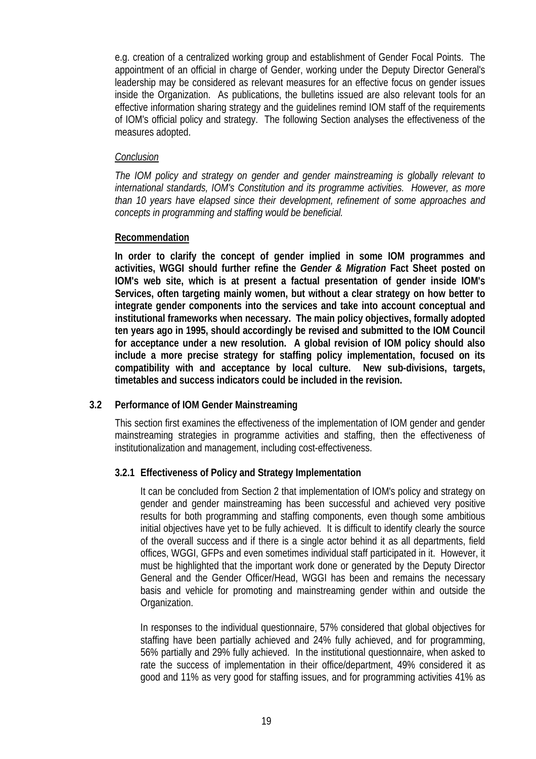e.g. creation of a centralized working group and establishment of Gender Focal Points. The appointment of an official in charge of Gender, working under the Deputy Director General's leadership may be considered as relevant measures for an effective focus on gender issues inside the Organization. As publications, the bulletins issued are also relevant tools for an effective information sharing strategy and the guidelines remind IOM staff of the requirements of IOM's official policy and strategy. The following Section analyses the effectiveness of the measures adopted.

### *Conclusion*

*The IOM policy and strategy on gender and gender mainstreaming is globally relevant to international standards, IOM's Constitution and its programme activities. However, as more than 10 years have elapsed since their development, refinement of some approaches and concepts in programming and staffing would be beneficial.* 

### **Recommendation**

**In order to clarify the concept of gender implied in some IOM programmes and activities, WGGI should further refine the** *Gender & Migration* **Fact Sheet posted on IOM's web site, which is at present a factual presentation of gender inside IOM's Services, often targeting mainly women, but without a clear strategy on how better to integrate gender components into the services and take into account conceptual and institutional frameworks when necessary. The main policy objectives, formally adopted ten years ago in 1995, should accordingly be revised and submitted to the IOM Council for acceptance under a new resolution. A global revision of IOM policy should also include a more precise strategy for staffing policy implementation, focused on its compatibility with and acceptance by local culture. New sub-divisions, targets, timetables and success indicators could be included in the revision.** 

# **3.2 Performance of IOM Gender Mainstreaming**

This section first examines the effectiveness of the implementation of IOM gender and gender mainstreaming strategies in programme activities and staffing, then the effectiveness of institutionalization and management, including cost-effectiveness.

# **3.2.1 Effectiveness of Policy and Strategy Implementation**

It can be concluded from Section 2 that implementation of IOM's policy and strategy on gender and gender mainstreaming has been successful and achieved very positive results for both programming and staffing components, even though some ambitious initial objectives have yet to be fully achieved. It is difficult to identify clearly the source of the overall success and if there is a single actor behind it as all departments, field offices, WGGI, GFPs and even sometimes individual staff participated in it. However, it must be highlighted that the important work done or generated by the Deputy Director General and the Gender Officer/Head, WGGI has been and remains the necessary basis and vehicle for promoting and mainstreaming gender within and outside the Organization.

In responses to the individual questionnaire, 57% considered that global objectives for staffing have been partially achieved and 24% fully achieved, and for programming, 56% partially and 29% fully achieved. In the institutional questionnaire, when asked to rate the success of implementation in their office/department, 49% considered it as good and 11% as very good for staffing issues, and for programming activities 41% as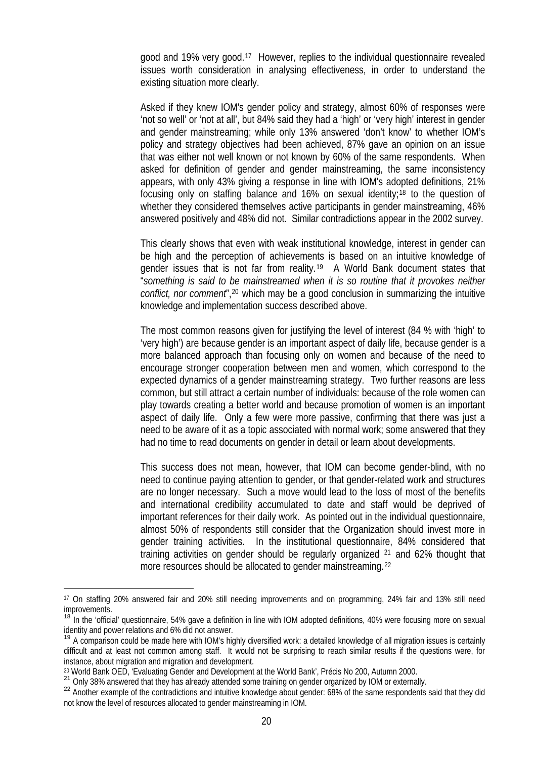good and 19% very good.[17](#page-22-0) However, replies to the individual questionnaire revealed issues worth consideration in analysing effectiveness, in order to understand the existing situation more clearly.

Asked if they knew IOM's gender policy and strategy, almost 60% of responses were 'not so well' or 'not at all', but 84% said they had a 'high' or 'very high' interest in gender and gender mainstreaming; while only 13% answered 'don't know' to whether IOM's policy and strategy objectives had been achieved, 87% gave an opinion on an issue that was either not well known or not known by 60% of the same respondents. When asked for definition of gender and gender mainstreaming, the same inconsistency appears, with only 43% giving a response in line with IOM's adopted definitions, 21% focusing only on staffing balance and  $16\%$  on sexual identity;<sup>[18](#page-22-1)</sup> to the question of whether they considered themselves active participants in gender mainstreaming, 46% answered positively and 48% did not. Similar contradictions appear in the 2002 survey.

This clearly shows that even with weak institutional knowledge, interest in gender can be high and the perception of achievements is based on an intuitive knowledge of gender issues that is not far from reality.[19](#page-22-2) A World Bank document states that "*something is said to be mainstreamed when it is so routine that it provokes neither conflict, nor comment*"[,20](#page-22-3) which may be a good conclusion in summarizing the intuitive knowledge and implementation success described above.

The most common reasons given for justifying the level of interest (84 % with 'high' to 'very high') are because gender is an important aspect of daily life, because gender is a more balanced approach than focusing only on women and because of the need to encourage stronger cooperation between men and women, which correspond to the expected dynamics of a gender mainstreaming strategy. Two further reasons are less common, but still attract a certain number of individuals: because of the role women can play towards creating a better world and because promotion of women is an important aspect of daily life. Only a few were more passive, confirming that there was just a need to be aware of it as a topic associated with normal work; some answered that they had no time to read documents on gender in detail or learn about developments.

This success does not mean, however, that IOM can become gender-blind, with no need to continue paying attention to gender, or that gender-related work and structures are no longer necessary. Such a move would lead to the loss of most of the benefits and international credibility accumulated to date and staff would be deprived of important references for their daily work. As pointed out in the individual questionnaire, almost 50% of respondents still consider that the Organization should invest more in gender training activities. In the institutional questionnaire, 84% considered that training activities on gender should be regularly organized  $2<sup>1</sup>$  and 62% thought that more resources should be allocated to gender mainstreaming.[22](#page-22-5)

 $\overline{a}$ 

<span id="page-22-0"></span><sup>17</sup> On staffing 20% answered fair and 20% still needing improvements and on programming, 24% fair and 13% still need improvements.

<span id="page-22-1"></span><sup>&</sup>lt;sup>18</sup> In the 'official' questionnaire, 54% gave a definition in line with IOM adopted definitions, 40% were focusing more on sexual identity and power relations and 6% did not answer.

<span id="page-22-2"></span><sup>&</sup>lt;sup>19</sup> A comparison could be made here with IOM's highly diversified work: a detailed knowledge of all migration issues is certainly difficult and at least not common among staff. It would not be surprising to reach similar results if the questions were, for instance, about migration and migration and development.

<span id="page-22-3"></span><sup>&</sup>lt;sup>20</sup> World Bank OED, 'Evaluating Gender and Development at the World Bank', Précis No 200, Autumn 2000.<br><sup>21</sup> Only 38% answered that they has already attended some training on gender organized by IOM or externally.

<span id="page-22-4"></span>

<span id="page-22-5"></span><sup>&</sup>lt;sup>22</sup> Another example of the contradictions and intuitive knowledge about gender: 68% of the same respondents said that they did not know the level of resources allocated to gender mainstreaming in IOM.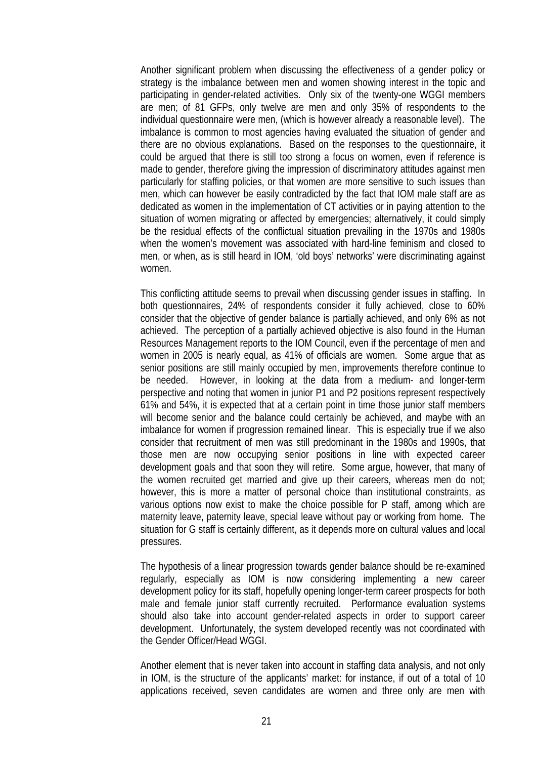Another significant problem when discussing the effectiveness of a gender policy or strategy is the imbalance between men and women showing interest in the topic and participating in gender-related activities. Only six of the twenty-one WGGI members are men; of 81 GFPs, only twelve are men and only 35% of respondents to the individual questionnaire were men, (which is however already a reasonable level). The imbalance is common to most agencies having evaluated the situation of gender and there are no obvious explanations. Based on the responses to the questionnaire, it could be argued that there is still too strong a focus on women, even if reference is made to gender, therefore giving the impression of discriminatory attitudes against men particularly for staffing policies, or that women are more sensitive to such issues than men, which can however be easily contradicted by the fact that IOM male staff are as dedicated as women in the implementation of CT activities or in paying attention to the situation of women migrating or affected by emergencies; alternatively, it could simply be the residual effects of the conflictual situation prevailing in the 1970s and 1980s when the women's movement was associated with hard-line feminism and closed to men, or when, as is still heard in IOM, 'old boys' networks' were discriminating against women.

This conflicting attitude seems to prevail when discussing gender issues in staffing. In both questionnaires, 24% of respondents consider it fully achieved, close to 60% consider that the objective of gender balance is partially achieved, and only 6% as not achieved. The perception of a partially achieved objective is also found in the Human Resources Management reports to the IOM Council, even if the percentage of men and women in 2005 is nearly equal, as 41% of officials are women. Some argue that as senior positions are still mainly occupied by men, improvements therefore continue to be needed. However, in looking at the data from a medium- and longer-term perspective and noting that women in junior P1 and P2 positions represent respectively 61% and 54%, it is expected that at a certain point in time those junior staff members will become senior and the balance could certainly be achieved, and maybe with an imbalance for women if progression remained linear. This is especially true if we also consider that recruitment of men was still predominant in the 1980s and 1990s, that those men are now occupying senior positions in line with expected career development goals and that soon they will retire. Some argue, however, that many of the women recruited get married and give up their careers, whereas men do not; however, this is more a matter of personal choice than institutional constraints, as various options now exist to make the choice possible for P staff, among which are maternity leave, paternity leave, special leave without pay or working from home. The situation for G staff is certainly different, as it depends more on cultural values and local pressures.

The hypothesis of a linear progression towards gender balance should be re-examined regularly, especially as IOM is now considering implementing a new career development policy for its staff, hopefully opening longer-term career prospects for both male and female junior staff currently recruited. Performance evaluation systems should also take into account gender-related aspects in order to support career development. Unfortunately, the system developed recently was not coordinated with the Gender Officer/Head WGGI.

Another element that is never taken into account in staffing data analysis, and not only in IOM, is the structure of the applicants' market: for instance, if out of a total of 10 applications received, seven candidates are women and three only are men with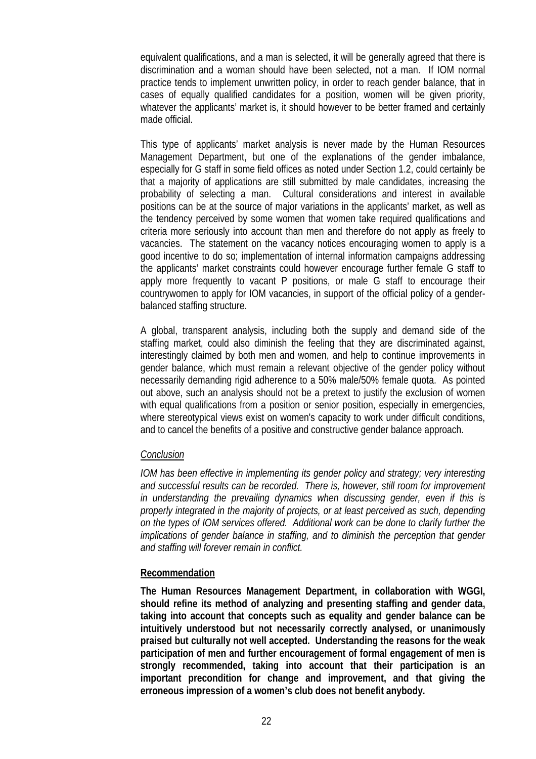equivalent qualifications, and a man is selected, it will be generally agreed that there is discrimination and a woman should have been selected, not a man. If IOM normal practice tends to implement unwritten policy, in order to reach gender balance, that in cases of equally qualified candidates for a position, women will be given priority, whatever the applicants' market is, it should however to be better framed and certainly made official.

This type of applicants' market analysis is never made by the Human Resources Management Department, but one of the explanations of the gender imbalance, especially for G staff in some field offices as noted under Section 1.2, could certainly be that a majority of applications are still submitted by male candidates, increasing the probability of selecting a man. Cultural considerations and interest in available positions can be at the source of major variations in the applicants' market, as well as the tendency perceived by some women that women take required qualifications and criteria more seriously into account than men and therefore do not apply as freely to vacancies. The statement on the vacancy notices encouraging women to apply is a good incentive to do so; implementation of internal information campaigns addressing the applicants' market constraints could however encourage further female G staff to apply more frequently to vacant P positions, or male G staff to encourage their countrywomen to apply for IOM vacancies, in support of the official policy of a genderbalanced staffing structure.

A global, transparent analysis, including both the supply and demand side of the staffing market, could also diminish the feeling that they are discriminated against, interestingly claimed by both men and women, and help to continue improvements in gender balance, which must remain a relevant objective of the gender policy without necessarily demanding rigid adherence to a 50% male/50% female quota. As pointed out above, such an analysis should not be a pretext to justify the exclusion of women with equal qualifications from a position or senior position, especially in emergencies, where stereotypical views exist on women's capacity to work under difficult conditions, and to cancel the benefits of a positive and constructive gender balance approach.

### *Conclusion*

*IOM has been effective in implementing its gender policy and strategy; very interesting and successful results can be recorded. There is, however, still room for improvement in understanding the prevailing dynamics when discussing gender, even if this is properly integrated in the majority of projects, or at least perceived as such, depending on the types of IOM services offered. Additional work can be done to clarify further the implications of gender balance in staffing, and to diminish the perception that gender and staffing will forever remain in conflict.*

### **Recommendation**

**The Human Resources Management Department, in collaboration with WGGI, should refine its method of analyzing and presenting staffing and gender data, taking into account that concepts such as equality and gender balance can be intuitively understood but not necessarily correctly analysed, or unanimously praised but culturally not well accepted. Understanding the reasons for the weak participation of men and further encouragement of formal engagement of men is strongly recommended, taking into account that their participation is an important precondition for change and improvement, and that giving the erroneous impression of a women's club does not benefit anybody.**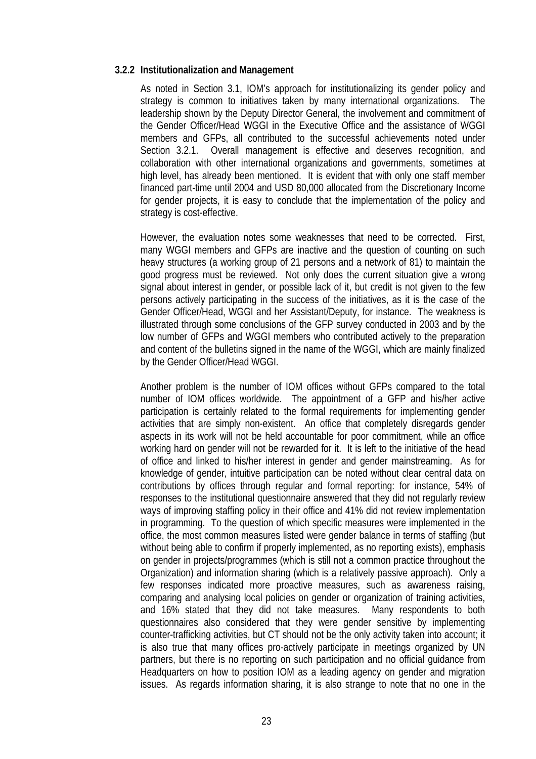### **3.2.2 Institutionalization and Management**

As noted in Section 3.1, IOM's approach for institutionalizing its gender policy and strategy is common to initiatives taken by many international organizations. The leadership shown by the Deputy Director General, the involvement and commitment of the Gender Officer/Head WGGI in the Executive Office and the assistance of WGGI members and GFPs, all contributed to the successful achievements noted under Section 3.2.1. Overall management is effective and deserves recognition, and collaboration with other international organizations and governments, sometimes at high level, has already been mentioned. It is evident that with only one staff member financed part-time until 2004 and USD 80,000 allocated from the Discretionary Income for gender projects, it is easy to conclude that the implementation of the policy and strategy is cost-effective.

However, the evaluation notes some weaknesses that need to be corrected. First, many WGGI members and GFPs are inactive and the question of counting on such heavy structures (a working group of 21 persons and a network of 81) to maintain the good progress must be reviewed. Not only does the current situation give a wrong signal about interest in gender, or possible lack of it, but credit is not given to the few persons actively participating in the success of the initiatives, as it is the case of the Gender Officer/Head, WGGI and her Assistant/Deputy, for instance. The weakness is illustrated through some conclusions of the GFP survey conducted in 2003 and by the low number of GFPs and WGGI members who contributed actively to the preparation and content of the bulletins signed in the name of the WGGI, which are mainly finalized by the Gender Officer/Head WGGI.

Another problem is the number of IOM offices without GFPs compared to the total number of IOM offices worldwide. The appointment of a GFP and his/her active participation is certainly related to the formal requirements for implementing gender activities that are simply non-existent. An office that completely disregards gender aspects in its work will not be held accountable for poor commitment, while an office working hard on gender will not be rewarded for it. It is left to the initiative of the head of office and linked to his/her interest in gender and gender mainstreaming. As for knowledge of gender, intuitive participation can be noted without clear central data on contributions by offices through regular and formal reporting: for instance, 54% of responses to the institutional questionnaire answered that they did not regularly review ways of improving staffing policy in their office and 41% did not review implementation in programming. To the question of which specific measures were implemented in the office, the most common measures listed were gender balance in terms of staffing (but without being able to confirm if properly implemented, as no reporting exists), emphasis on gender in projects/programmes (which is still not a common practice throughout the Organization) and information sharing (which is a relatively passive approach). Only a few responses indicated more proactive measures, such as awareness raising, comparing and analysing local policies on gender or organization of training activities, and 16% stated that they did not take measures. Many respondents to both questionnaires also considered that they were gender sensitive by implementing counter-trafficking activities, but CT should not be the only activity taken into account; it is also true that many offices pro-actively participate in meetings organized by UN partners, but there is no reporting on such participation and no official guidance from Headquarters on how to position IOM as a leading agency on gender and migration issues. As regards information sharing, it is also strange to note that no one in the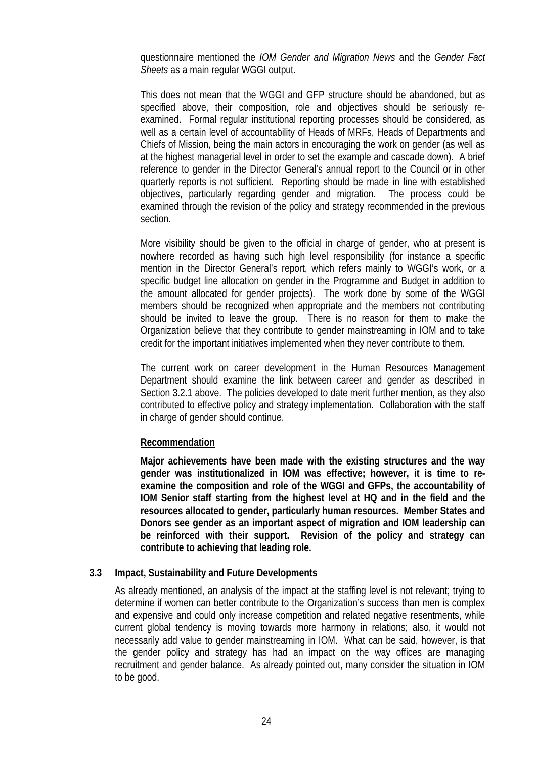questionnaire mentioned the *IOM Gender and Migration News* and the *Gender Fact Sheets* as a main regular WGGI output.

This does not mean that the WGGI and GFP structure should be abandoned, but as specified above, their composition, role and objectives should be seriously reexamined. Formal regular institutional reporting processes should be considered, as well as a certain level of accountability of Heads of MRFs, Heads of Departments and Chiefs of Mission, being the main actors in encouraging the work on gender (as well as at the highest managerial level in order to set the example and cascade down). A brief reference to gender in the Director General's annual report to the Council or in other quarterly reports is not sufficient. Reporting should be made in line with established objectives, particularly regarding gender and migration. The process could be examined through the revision of the policy and strategy recommended in the previous section.

More visibility should be given to the official in charge of gender, who at present is nowhere recorded as having such high level responsibility (for instance a specific mention in the Director General's report, which refers mainly to WGGI's work, or a specific budget line allocation on gender in the Programme and Budget in addition to the amount allocated for gender projects). The work done by some of the WGGI members should be recognized when appropriate and the members not contributing should be invited to leave the group. There is no reason for them to make the Organization believe that they contribute to gender mainstreaming in IOM and to take credit for the important initiatives implemented when they never contribute to them.

The current work on career development in the Human Resources Management Department should examine the link between career and gender as described in Section 3.2.1 above. The policies developed to date merit further mention, as they also contributed to effective policy and strategy implementation. Collaboration with the staff in charge of gender should continue.

### **Recommendation**

**Major achievements have been made with the existing structures and the way gender was institutionalized in IOM was effective; however, it is time to reexamine the composition and role of the WGGI and GFPs, the accountability of IOM Senior staff starting from the highest level at HQ and in the field and the resources allocated to gender, particularly human resources. Member States and Donors see gender as an important aspect of migration and IOM leadership can be reinforced with their support. Revision of the policy and strategy can contribute to achieving that leading role.** 

### **3.3 Impact, Sustainability and Future Developments**

As already mentioned, an analysis of the impact at the staffing level is not relevant; trying to determine if women can better contribute to the Organization's success than men is complex and expensive and could only increase competition and related negative resentments, while current global tendency is moving towards more harmony in relations; also, it would not necessarily add value to gender mainstreaming in IOM. What can be said, however, is that the gender policy and strategy has had an impact on the way offices are managing recruitment and gender balance. As already pointed out, many consider the situation in IOM to be good.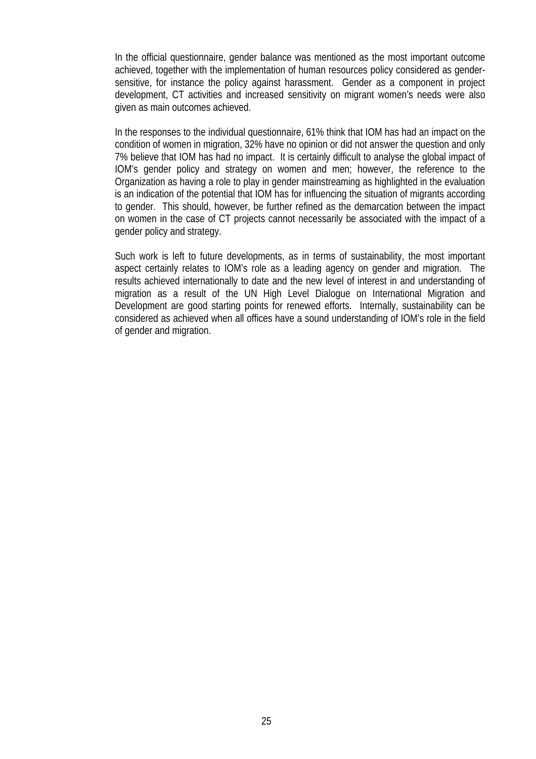In the official questionnaire, gender balance was mentioned as the most important outcome achieved, together with the implementation of human resources policy considered as gendersensitive, for instance the policy against harassment. Gender as a component in project development, CT activities and increased sensitivity on migrant women's needs were also given as main outcomes achieved.

In the responses to the individual questionnaire, 61% think that IOM has had an impact on the condition of women in migration, 32% have no opinion or did not answer the question and only 7% believe that IOM has had no impact. It is certainly difficult to analyse the global impact of IOM's gender policy and strategy on women and men; however, the reference to the Organization as having a role to play in gender mainstreaming as highlighted in the evaluation is an indication of the potential that IOM has for influencing the situation of migrants according to gender. This should, however, be further refined as the demarcation between the impact on women in the case of CT projects cannot necessarily be associated with the impact of a gender policy and strategy.

Such work is left to future developments, as in terms of sustainability, the most important aspect certainly relates to IOM's role as a leading agency on gender and migration. The results achieved internationally to date and the new level of interest in and understanding of migration as a result of the UN High Level Dialogue on International Migration and Development are good starting points for renewed efforts. Internally, sustainability can be considered as achieved when all offices have a sound understanding of IOM's role in the field of gender and migration.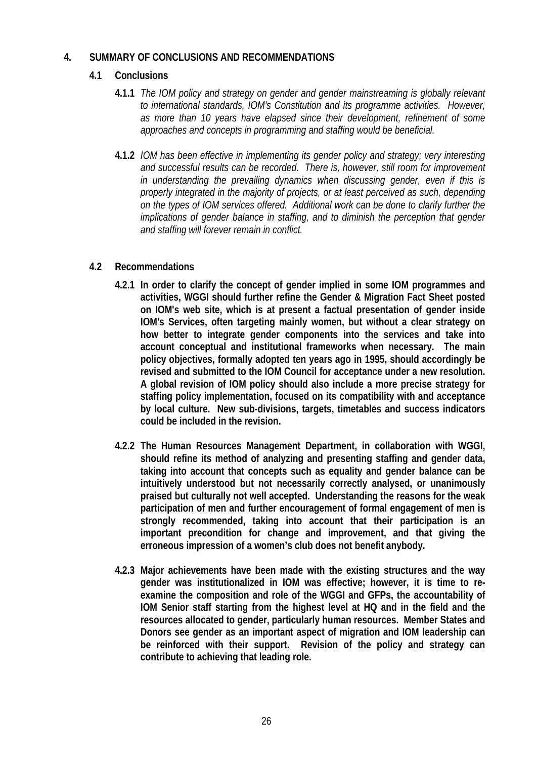### **4. SUMMARY OF CONCLUSIONS AND RECOMMENDATIONS**

# **4.1 Conclusions**

- **4.1.1** *The IOM policy and strategy on gender and gender mainstreaming is globally relevant to international standards, IOM's Constitution and its programme activities. However, as more than 10 years have elapsed since their development, refinement of some approaches and concepts in programming and staffing would be beneficial.*
- **4.1.2** *IOM has been effective in implementing its gender policy and strategy; very interesting and successful results can be recorded. There is, however, still room for improvement in understanding the prevailing dynamics when discussing gender, even if this is properly integrated in the majority of projects, or at least perceived as such, depending on the types of IOM services offered. Additional work can be done to clarify further the implications of gender balance in staffing, and to diminish the perception that gender and staffing will forever remain in conflict.*

# **4.2 Recommendations**

- **4.2.1 In order to clarify the concept of gender implied in some IOM programmes and activities, WGGI should further refine the Gender & Migration Fact Sheet posted on IOM's web site, which is at present a factual presentation of gender inside IOM's Services, often targeting mainly women, but without a clear strategy on how better to integrate gender components into the services and take into account conceptual and institutional frameworks when necessary. The main policy objectives, formally adopted ten years ago in 1995, should accordingly be revised and submitted to the IOM Council for acceptance under a new resolution. A global revision of IOM policy should also include a more precise strategy for staffing policy implementation, focused on its compatibility with and acceptance by local culture. New sub-divisions, targets, timetables and success indicators could be included in the revision.**
- **4.2.2 The Human Resources Management Department, in collaboration with WGGI, should refine its method of analyzing and presenting staffing and gender data, taking into account that concepts such as equality and gender balance can be intuitively understood but not necessarily correctly analysed, or unanimously praised but culturally not well accepted. Understanding the reasons for the weak participation of men and further encouragement of formal engagement of men is strongly recommended, taking into account that their participation is an important precondition for change and improvement, and that giving the erroneous impression of a women's club does not benefit anybody.**
- **4.2.3 Major achievements have been made with the existing structures and the way gender was institutionalized in IOM was effective; however, it is time to reexamine the composition and role of the WGGI and GFPs, the accountability of IOM Senior staff starting from the highest level at HQ and in the field and the resources allocated to gender, particularly human resources. Member States and Donors see gender as an important aspect of migration and IOM leadership can be reinforced with their support. Revision of the policy and strategy can contribute to achieving that leading role.**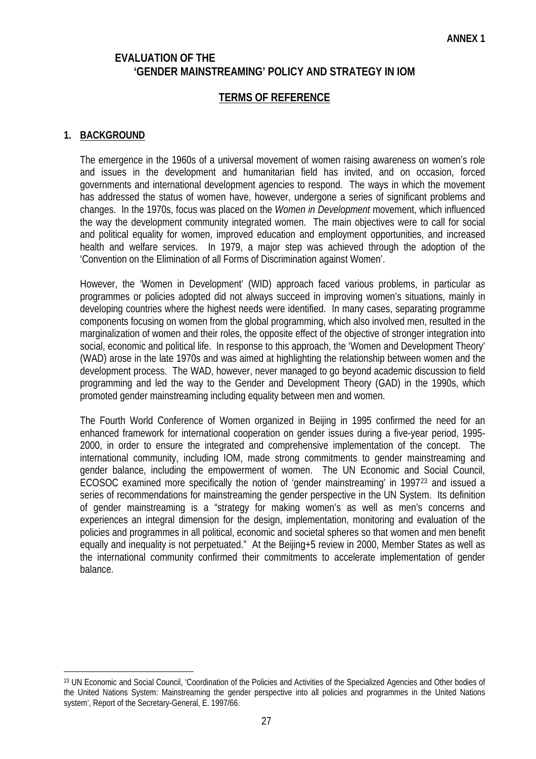# **EVALUATION OF THE 'GENDER MAINSTREAMING' POLICY AND STRATEGY IN IOM**

# **TERMS OF REFERENCE**

### **1. BACKGROUND**

 $\overline{a}$ 

The emergence in the 1960s of a universal movement of women raising awareness on women's role and issues in the development and humanitarian field has invited, and on occasion, forced governments and international development agencies to respond. The ways in which the movement has addressed the status of women have, however, undergone a series of significant problems and changes. In the 1970s, focus was placed on the *Women in Development* movement, which influenced the way the development community integrated women. The main objectives were to call for social and political equality for women, improved education and employment opportunities, and increased health and welfare services. In 1979, a major step was achieved through the adoption of the 'Convention on the Elimination of all Forms of Discrimination against Women'.

However, the 'Women in Development' (WID) approach faced various problems, in particular as programmes or policies adopted did not always succeed in improving women's situations, mainly in developing countries where the highest needs were identified. In many cases, separating programme components focusing on women from the global programming, which also involved men, resulted in the marginalization of women and their roles, the opposite effect of the objective of stronger integration into social, economic and political life. In response to this approach, the 'Women and Development Theory' (WAD) arose in the late 1970s and was aimed at highlighting the relationship between women and the development process. The WAD, however, never managed to go beyond academic discussion to field programming and led the way to the Gender and Development Theory (GAD) in the 1990s, which promoted gender mainstreaming including equality between men and women.

The Fourth World Conference of Women organized in Beijing in 1995 confirmed the need for an enhanced framework for international cooperation on gender issues during a five-year period, 1995- 2000, in order to ensure the integrated and comprehensive implementation of the concept. The international community, including IOM, made strong commitments to gender mainstreaming and gender balance, including the empowerment of women. The UN Economic and Social Council, ECOSOC examined more specifically the notion of 'gender mainstreaming' in 1997[23](#page-29-0) and issued a series of recommendations for mainstreaming the gender perspective in the UN System. Its definition of gender mainstreaming is a "strategy for making women's as well as men's concerns and experiences an integral dimension for the design, implementation, monitoring and evaluation of the policies and programmes in all political, economic and societal spheres so that women and men benefit equally and inequality is not perpetuated." At the Beijing+5 review in 2000, Member States as well as the international community confirmed their commitments to accelerate implementation of gender balance.

<span id="page-29-0"></span><sup>23</sup> UN Economic and Social Council, 'Coordination of the Policies and Activities of the Specialized Agencies and Other bodies of the United Nations System: Mainstreaming the gender perspective into all policies and programmes in the United Nations system', Report of the Secretary-General, E. 1997/66.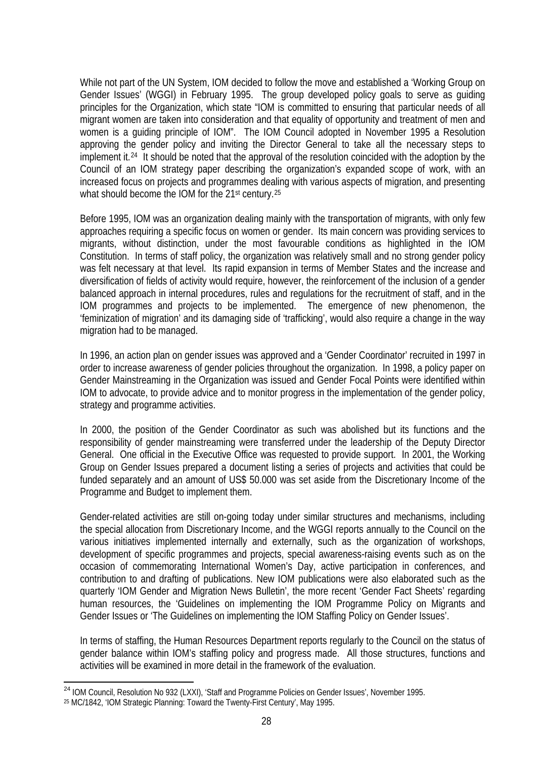While not part of the UN System, IOM decided to follow the move and established a 'Working Group on Gender Issues' (WGGI) in February 1995. The group developed policy goals to serve as guiding principles for the Organization, which state "IOM is committed to ensuring that particular needs of all migrant women are taken into consideration and that equality of opportunity and treatment of men and women is a guiding principle of IOM". The IOM Council adopted in November 1995 a Resolution approving the gender policy and inviting the Director General to take all the necessary steps to implement it.[24](#page-30-0) It should be noted that the approval of the resolution coincided with the adoption by the Council of an IOM strategy paper describing the organization's expanded scope of work, with an increased focus on projects and programmes dealing with various aspects of migration, and presenting what should become the IOM for the 21<sup>st</sup> century.<sup>[25](#page-30-1)</sup>

Before 1995, IOM was an organization dealing mainly with the transportation of migrants, with only few approaches requiring a specific focus on women or gender. Its main concern was providing services to migrants, without distinction, under the most favourable conditions as highlighted in the IOM Constitution. In terms of staff policy, the organization was relatively small and no strong gender policy was felt necessary at that level. Its rapid expansion in terms of Member States and the increase and diversification of fields of activity would require, however, the reinforcement of the inclusion of a gender balanced approach in internal procedures, rules and regulations for the recruitment of staff, and in the IOM programmes and projects to be implemented. The emergence of new phenomenon, the 'feminization of migration' and its damaging side of 'trafficking', would also require a change in the way migration had to be managed.

In 1996, an action plan on gender issues was approved and a 'Gender Coordinator' recruited in 1997 in order to increase awareness of gender policies throughout the organization. In 1998, a policy paper on Gender Mainstreaming in the Organization was issued and Gender Focal Points were identified within IOM to advocate, to provide advice and to monitor progress in the implementation of the gender policy, strategy and programme activities.

In 2000, the position of the Gender Coordinator as such was abolished but its functions and the responsibility of gender mainstreaming were transferred under the leadership of the Deputy Director General. One official in the Executive Office was requested to provide support. In 2001, the Working Group on Gender Issues prepared a document listing a series of projects and activities that could be funded separately and an amount of US\$ 50.000 was set aside from the Discretionary Income of the Programme and Budget to implement them.

Gender-related activities are still on-going today under similar structures and mechanisms, including the special allocation from Discretionary Income, and the WGGI reports annually to the Council on the various initiatives implemented internally and externally, such as the organization of workshops, development of specific programmes and projects, special awareness-raising events such as on the occasion of commemorating International Women's Day, active participation in conferences, and contribution to and drafting of publications. New IOM publications were also elaborated such as the quarterly 'IOM Gender and Migration News Bulletin', the more recent 'Gender Fact Sheets' regarding human resources, the 'Guidelines on implementing the IOM Programme Policy on Migrants and Gender Issues or 'The Guidelines on implementing the IOM Staffing Policy on Gender Issues'.

In terms of staffing, the Human Resources Department reports regularly to the Council on the status of gender balance within IOM's staffing policy and progress made. All those structures, functions and activities will be examined in more detail in the framework of the evaluation.

 $\overline{a}$ 

<sup>&</sup>lt;sup>24</sup> IOM Council, Resolution No 932 (LXXI), 'Staff and Programme Policies on Gender Issues', November 1995.

<span id="page-30-1"></span><span id="page-30-0"></span><sup>25</sup> MC/1842, 'IOM Strategic Planning: Toward the Twenty-First Century', May 1995.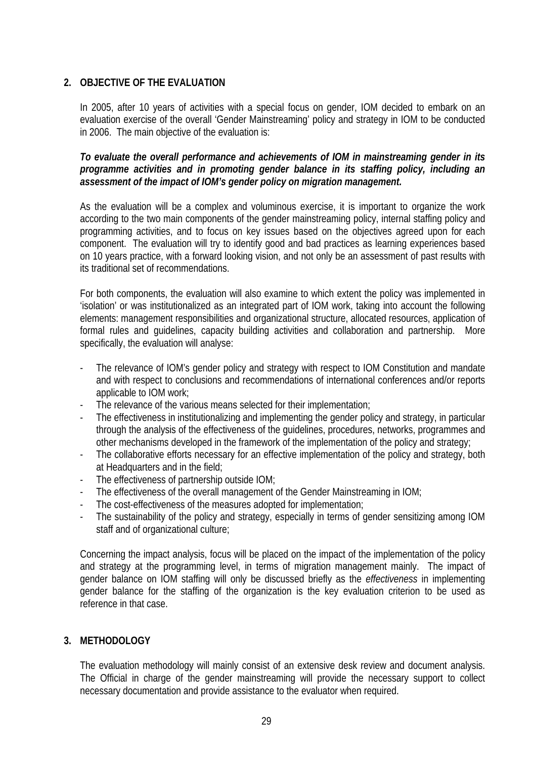# **2. OBJECTIVE OF THE EVALUATION**

In 2005, after 10 years of activities with a special focus on gender, IOM decided to embark on an evaluation exercise of the overall 'Gender Mainstreaming' policy and strategy in IOM to be conducted in 2006. The main objective of the evaluation is:

*To evaluate the overall performance and achievements of IOM in mainstreaming gender in its programme activities and in promoting gender balance in its staffing policy, including an assessment of the impact of IOM's gender policy on migration management.* 

As the evaluation will be a complex and voluminous exercise, it is important to organize the work according to the two main components of the gender mainstreaming policy, internal staffing policy and programming activities, and to focus on key issues based on the objectives agreed upon for each component. The evaluation will try to identify good and bad practices as learning experiences based on 10 years practice, with a forward looking vision, and not only be an assessment of past results with its traditional set of recommendations.

For both components, the evaluation will also examine to which extent the policy was implemented in 'isolation' or was institutionalized as an integrated part of IOM work, taking into account the following elements: management responsibilities and organizational structure, allocated resources, application of formal rules and guidelines, capacity building activities and collaboration and partnership. More specifically, the evaluation will analyse:

- The relevance of IOM's gender policy and strategy with respect to IOM Constitution and mandate and with respect to conclusions and recommendations of international conferences and/or reports applicable to IOM work;
- The relevance of the various means selected for their implementation;
- The effectiveness in institutionalizing and implementing the gender policy and strategy, in particular through the analysis of the effectiveness of the guidelines, procedures, networks, programmes and other mechanisms developed in the framework of the implementation of the policy and strategy;
- The collaborative efforts necessary for an effective implementation of the policy and strategy, both at Headquarters and in the field;
- The effectiveness of partnership outside IOM;
- The effectiveness of the overall management of the Gender Mainstreaming in IOM;
- The cost-effectiveness of the measures adopted for implementation;
- The sustainability of the policy and strategy, especially in terms of gender sensitizing among IOM staff and of organizational culture;

Concerning the impact analysis, focus will be placed on the impact of the implementation of the policy and strategy at the programming level, in terms of migration management mainly. The impact of gender balance on IOM staffing will only be discussed briefly as the *effectiveness* in implementing gender balance for the staffing of the organization is the key evaluation criterion to be used as reference in that case.

### **3. METHODOLOGY**

The evaluation methodology will mainly consist of an extensive desk review and document analysis. The Official in charge of the gender mainstreaming will provide the necessary support to collect necessary documentation and provide assistance to the evaluator when required.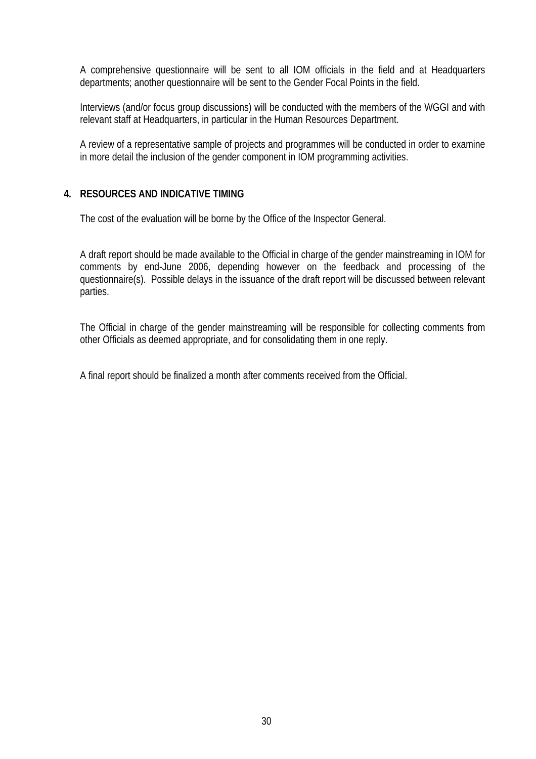A comprehensive questionnaire will be sent to all IOM officials in the field and at Headquarters departments; another questionnaire will be sent to the Gender Focal Points in the field.

Interviews (and/or focus group discussions) will be conducted with the members of the WGGI and with relevant staff at Headquarters, in particular in the Human Resources Department.

A review of a representative sample of projects and programmes will be conducted in order to examine in more detail the inclusion of the gender component in IOM programming activities.

# **4. RESOURCES AND INDICATIVE TIMING**

The cost of the evaluation will be borne by the Office of the Inspector General.

A draft report should be made available to the Official in charge of the gender mainstreaming in IOM for comments by end-June 2006, depending however on the feedback and processing of the questionnaire(s). Possible delays in the issuance of the draft report will be discussed between relevant parties.

The Official in charge of the gender mainstreaming will be responsible for collecting comments from other Officials as deemed appropriate, and for consolidating them in one reply.

A final report should be finalized a month after comments received from the Official.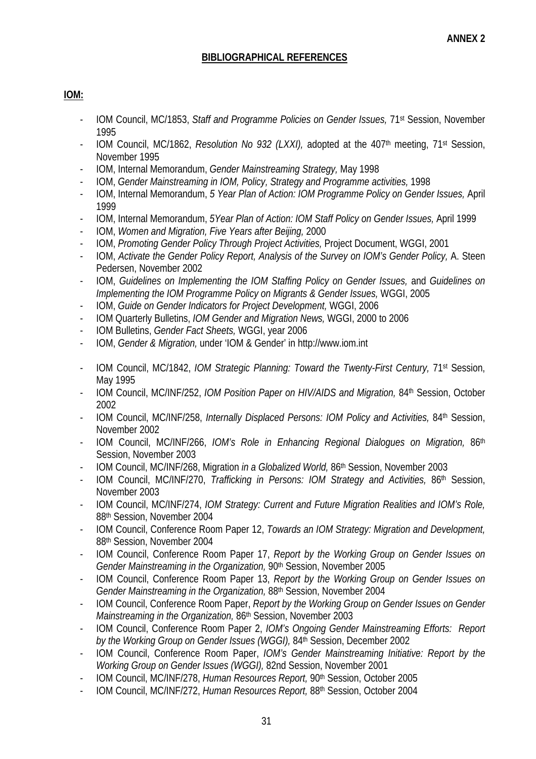# **BIBLIOGRAPHICAL REFERENCES**

# **IOM:**

- IOM Council, MC/1853, *Staff and Programme Policies on Gender Issues,* 71st Session, November 1995
- IOM Council, MC/1862, *Resolution No 932 (LXXI)*, adopted at the 407<sup>th</sup> meeting, 71<sup>st</sup> Session, November 1995
- IOM, Internal Memorandum, *Gender Mainstreaming Strategy,* May 1998
- IOM, *Gender Mainstreaming in IOM, Policy, Strategy and Programme activities,* 1998
- IOM, Internal Memorandum, *5 Year Plan of Action: IOM Programme Policy on Gender Issues,* April 1999
- IOM, Internal Memorandum, *5Year Plan of Action: IOM Staff Policy on Gender Issues,* April 1999
- IOM, *Women and Migration, Five Years after Beijing,* 2000
- IOM, *Promoting Gender Policy Through Project Activities,* Project Document, WGGI, 2001
- IOM, *Activate the Gender Policy Report, Analysis of the Survey on IOM's Gender Policy,* A. Steen Pedersen, November 2002
- IOM, *Guidelines on Implementing the IOM Staffing Policy on Gender Issues,* and *Guidelines on Implementing the IOM Programme Policy on Migrants & Gender Issues,* WGGI, 2005
- IOM, *Guide on Gender Indicators for Project Development,* WGGI, 2006
- IOM Quarterly Bulletins, *IOM Gender and Migration News,* WGGI, 2000 to 2006
- IOM Bulletins, *Gender Fact Sheets,* WGGI, year 2006
- IOM, *Gender & Migration,* under 'IOM & Gender' in http://www.iom.int
- IOM Council, MC/1842, *IOM Strategic Planning: Toward the Twenty-First Century,* 71st Session, May 1995
- IOM Council, MC/INF/252, *IOM Position Paper on HIV/AIDS and Migration,* 84th Session, October 2002
- IOM Council, MC/INF/258, *Internally Displaced Persons: IOM Policy and Activities,* 84th Session, November 2002
- IOM Council, MC/INF/266, *IOM's Role in Enhancing Regional Dialogues on Migration,* 86th Session, November 2003
- IOM Council, MC/INF/268, Migration *in a Globalized World,* 86th Session, November 2003
- IOM Council, MC/INF/270, *Trafficking in Persons: IOM Strategy and Activities,* 86th Session, November 2003
- IOM Council, MC/INF/274, *IOM Strategy: Current and Future Migration Realities and IOM's Role,*  88th Session, November 2004
- IOM Council, Conference Room Paper 12, *Towards an IOM Strategy: Migration and Development,*  88th Session, November 2004
- IOM Council, Conference Room Paper 17, *Report by the Working Group on Gender Issues on Gender Mainstreaming in the Organization,* 90<sup>th</sup> Session, November 2005
- IOM Council, Conference Room Paper 13, *Report by the Working Group on Gender Issues on Gender Mainstreaming in the Organization,* 88th Session, November 2004
- IOM Council, Conference Room Paper, *Report by the Working Group on Gender Issues on Gender Mainstreaming in the Organization,* 86th Session, November 2003
- IOM Council, Conference Room Paper 2, *IOM's Ongoing Gender Mainstreaming Efforts: Report by the Working Group on Gender Issues (WGGI),* 84th Session, December 2002
- IOM Council, Conference Room Paper, *IOM's Gender Mainstreaming Initiative: Report by the Working Group on Gender Issues (WGGI),* 82nd Session, November 2001
- IOM Council, MC/INF/278, *Human Resources Report,* 90th Session, October 2005
- IOM Council, MC/INF/272, *Human Resources Report,* 88th Session, October 2004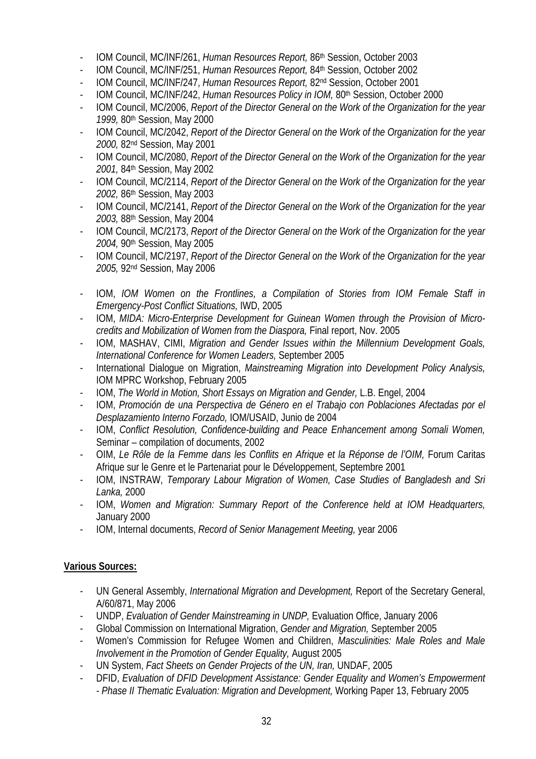- IOM Council, MC/INF/261, *Human Resources Report,* 86th Session, October 2003
- IOM Council, MC/INF/251, *Human Resources Report,* 84th Session, October 2002
- IOM Council, MC/INF/247, *Human Resources Report,* 82nd Session, October 2001
- IOM Council, MC/INF/242, *Human Resources Policy in IOM,* 80th Session, October 2000
- IOM Council, MC/2006, *Report of the Director General on the Work of the Organization for the year 1999,* 80th Session, May 2000
- IOM Council, MC/2042, *Report of the Director General on the Work of the Organization for the year 2000,* 82nd Session, May 2001
- IOM Council, MC/2080, *Report of the Director General on the Work of the Organization for the year 2001,* 84th Session, May 2002
- IOM Council, MC/2114, *Report of the Director General on the Work of the Organization for the year 2002,* 86th Session, May 2003
- IOM Council, MC/2141, *Report of the Director General on the Work of the Organization for the year 2003,* 88th Session, May 2004
- IOM Council, MC/2173, *Report of the Director General on the Work of the Organization for the year 2004,* 90th Session, May 2005
- IOM Council, MC/2197, *Report of the Director General on the Work of the Organization for the year 2005,* 92nd Session, May 2006
- IOM, *IOM Women on the Frontlines, a Compilation of Stories from IOM Female Staff in Emergency-Post Conflict Situations,* IWD, 2005
- IOM, *MIDA: Micro-Enterprise Development for Guinean Women through the Provision of Microcredits and Mobilization of Women from the Diaspora,* Final report, Nov. 2005
- IOM, MASHAV, CIMI, *Migration and Gender Issues within the Millennium Development Goals, International Conference for Women Leaders,* September 2005
- International Dialogue on Migration, *Mainstreaming Migration into Development Policy Analysis,*  IOM MPRC Workshop, February 2005
- IOM, *The World in Motion, Short Essays on Migration and Gender,* L.B. Engel, 2004
- IOM, *Promoción de una Perspectiva de Género en el Trabajo con Poblaciones Afectadas por el Desplazamiento Interno Forzado,* IOM/USAID, Junio de 2004
- IOM, *Conflict Resolution, Confidence-building and Peace Enhancement among Somali Women,*  Seminar – compilation of documents, 2002
- OIM, *Le Rôle de la Femme dans les Conflits en Afrique et la Réponse de l'OIM,* Forum Caritas Afrique sur le Genre et le Partenariat pour le Développement, Septembre 2001
- IOM, INSTRAW, *Temporary Labour Migration of Women, Case Studies of Bangladesh and Sri Lanka,* 2000
- IOM, *Women and Migration: Summary Report of the Conference held at IOM Headquarters,*  January 2000
- IOM, Internal documents, *Record of Senior Management Meeting,* year 2006

### **Various Sources:**

- UN General Assembly, *International Migration and Development,* Report of the Secretary General, A/60/871, May 2006
- UNDP, *Evaluation of Gender Mainstreaming in UNDP,* Evaluation Office, January 2006
- Global Commission on International Migration, *Gender and Migration,* September 2005
- Women's Commission for Refugee Women and Children, *Masculinities: Male Roles and Male Involvement in the Promotion of Gender Equality,* August 2005
- UN System, *Fact Sheets on Gender Projects of the UN, Iran,* UNDAF, 2005
- DFID, *Evaluation of DFID Development Assistance: Gender Equality and Women's Empowerment - Phase II Thematic Evaluation: Migration and Development,* Working Paper 13, February 2005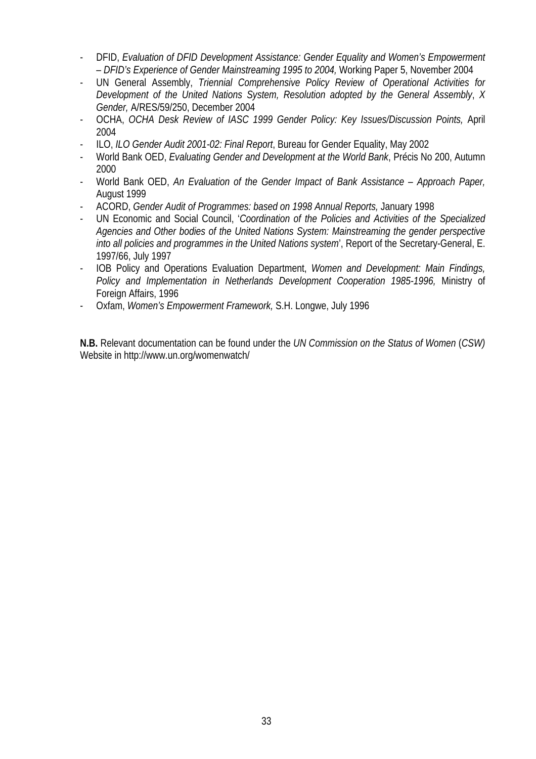- DFID, *Evaluation of DFID Development Assistance: Gender Equality and Women's Empowerment – DFID's Experience of Gender Mainstreaming 1995 to 2004,* Working Paper 5, November 2004
- UN General Assembly, *Triennial Comprehensive Policy Review of Operational Activities for Development of the United Nations System, Resolution adopted by the General Assembly*, *X Gender,* A/RES/59/250, December 2004
- OCHA, *OCHA Desk Review of IASC 1999 Gender Policy: Key Issues/Discussion Points,* April 2004
- ILO, *ILO Gender Audit 2001-02: Final Report*, Bureau for Gender Equality, May 2002
- World Bank OED, *Evaluating Gender and Development at the World Bank*, Précis No 200, Autumn 2000
- World Bank OED, *An Evaluation of the Gender Impact of Bank Assistance Approach Paper,*  August 1999
- ACORD, *Gender Audit of Programmes: based on 1998 Annual Reports,* January 1998
- UN Economic and Social Council, '*Coordination of the Policies and Activities of the Specialized Agencies and Other bodies of the United Nations System: Mainstreaming the gender perspective into all policies and programmes in the United Nations system*', Report of the Secretary-General, E. 1997/66, July 1997
- IOB Policy and Operations Evaluation Department, *Women and Development: Main Findings, Policy and Implementation in Netherlands Development Cooperation 1985-1996,* Ministry of Foreign Affairs, 1996
- Oxfam, *Women's Empowerment Framework,* S.H. Longwe, July 1996

**N.B.** Relevant documentation can be found under the *UN Commission on the Status of Women* (*CSW)*  Website in http://www.un.org/womenwatch/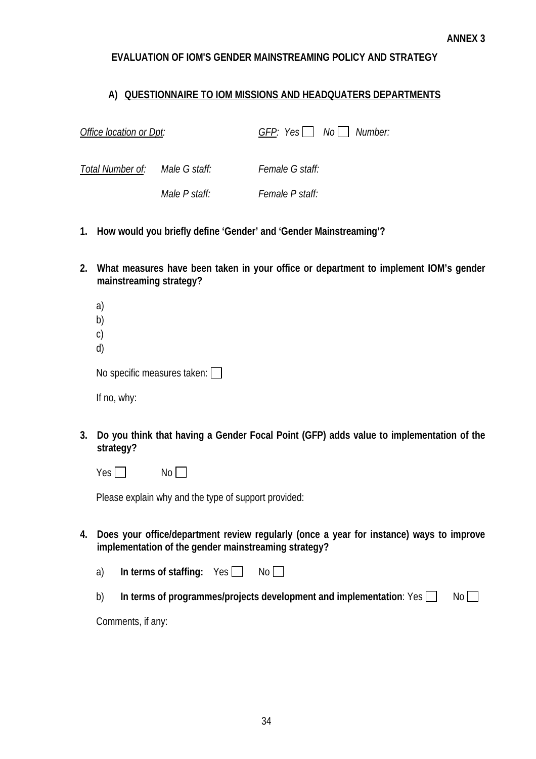### **EVALUATION OF IOM'S GENDER MAINSTREAMING POLICY AND STRATEGY**

### **A) QUESTIONNAIRE TO IOM MISSIONS AND HEADQUATERS DEPARTMENTS**

| Office location or Dpt:        |               |                        | $GFP: Yes \quad No \quad Number:$ |
|--------------------------------|---------------|------------------------|-----------------------------------|
| Total Number of: Male G staff: |               | <i>Female G staff:</i> |                                   |
|                                | Male P staff: | <i>Female P staff:</i> |                                   |

- **1. How would you briefly define 'Gender' and 'Gender Mainstreaming'?**
- **2. What measures have been taken in your office or department to implement IOM's gender mainstreaming strategy?**

| a)             |  |
|----------------|--|
| b)             |  |
| $\mathsf{C}$   |  |
| d)             |  |
| No snacific me |  |

| No specific measures taken: [ |  |
|-------------------------------|--|
|                               |  |

If no, why:

**3. Do you think that having a Gender Focal Point (GFP) adds value to implementation of the strategy?** 

 $Yes \Box$  No

Please explain why and the type of support provided:

- **4. Does your office/department review regularly (once a year for instance) ways to improve implementation of the gender mainstreaming strategy?** 
	- a) In terms of staffing: Yes No
	- b) **In terms of programmes/projects development and implementation**: Yes  $\Box$  No  $\Box$

Comments, if any: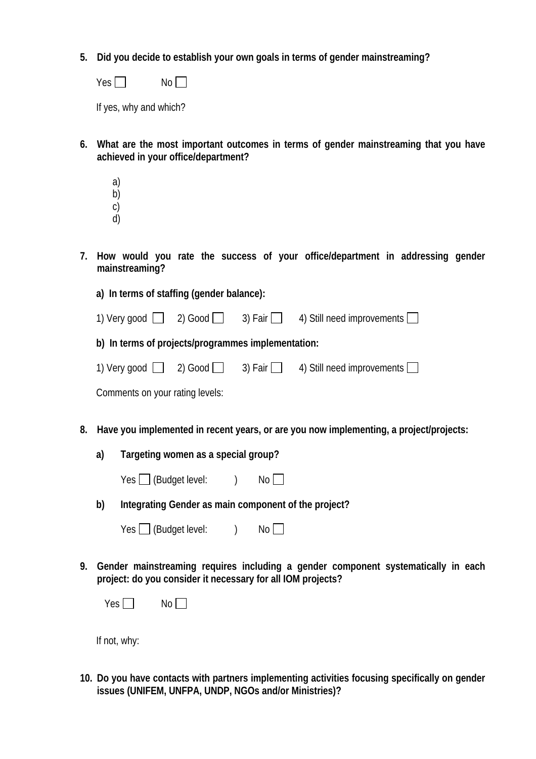**5. Did you decide to establish your own goals in terms of gender mainstreaming?** 

| Yes. | No |
|------|----|
|------|----|

If yes, why and which?

- **6. What are the most important outcomes in terms of gender mainstreaming that you have achieved in your office/department?** 
	- a)
	- b)
	- c) d)
- **7. How would you rate the success of your office/department in addressing gender mainstreaming?**

**a) In terms of staffing (gender balance):** 

| 1) Very good | 2) Good $\lceil$ | 3) Fair $ $ |  | 4) Still need improvements |  |
|--------------|------------------|-------------|--|----------------------------|--|
|--------------|------------------|-------------|--|----------------------------|--|

**b) In terms of projects/programmes implementation:** 

| 1) Very good | $2)$ Good | 3) Fair $ $ |  | 4) Still need improvements |  |
|--------------|-----------|-------------|--|----------------------------|--|
|--------------|-----------|-------------|--|----------------------------|--|

Comments on your rating levels:

- **8. Have you implemented in recent years, or are you now implementing, a project/projects:** 
	- **a) Targeting women as a special group?**

|  | Yes $\Box$ (Budget level: |  | No |
|--|---------------------------|--|----|
|--|---------------------------|--|----|

**b) Integrating Gender as main component of the project?** 

| Yes $\Box$ (Budget level: |  | No |
|---------------------------|--|----|
|---------------------------|--|----|

**9. Gender mainstreaming requires including a gender component systematically in each project: do you consider it necessary for all IOM projects?** 

| V<br>$\sim$ | N<br>., |  |  |
|-------------|---------|--|--|
|-------------|---------|--|--|

If not, why:

**10. Do you have contacts with partners implementing activities focusing specifically on gender issues (UNIFEM, UNFPA, UNDP, NGOs and/or Ministries)?**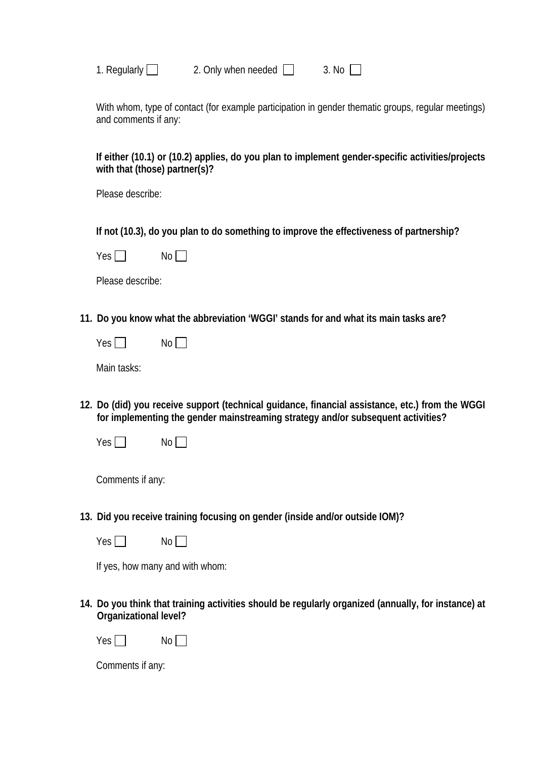| Regularly |  |
|-----------|--|
|           |  |

igularly  $\Box$  2. Only when needed  $\Box$  3. No  $\Box$ 

With whom, type of contact (for example participation in gender thematic groups, regular meetings) and comments if any:

**If either (10.1) or (10.2) applies, do you plan to implement gender-specific activities/projects with that (those) partner(s)?** 

Please describe:

**If not (10.3), do you plan to do something to improve the effectiveness of partnership?** 

 $Yes \Box$  No  $\Box$ 

Please describe:

- **11. Do you know what the abbreviation 'WGGI' stands for and what its main tasks are?** 
	- $Yes \Box$  No  $\Box$

Main tasks:

- **12. Do (did) you receive support (technical guidance, financial assistance, etc.) from the WGGI for implementing the gender mainstreaming strategy and/or subsequent activities?** 
	- $Yes \Box$  No

Comments if any:

**13. Did you receive training focusing on gender (inside and/or outside IOM)?** 

 $Yes \Box$  No  $\Box$ 

If yes, how many and with whom:

**14. Do you think that training activities should be regularly organized (annually, for instance) at Organizational level?** 

 $Yes \Box$  No  $\Box$ 

Comments if any: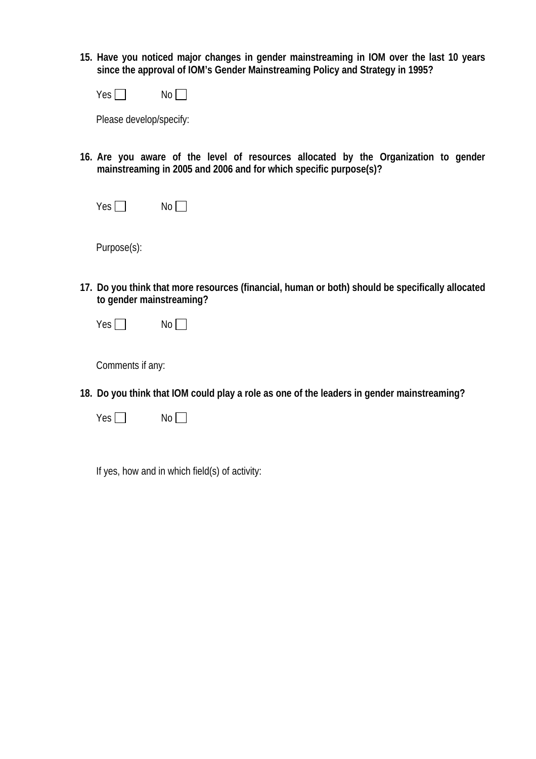**15. Have you noticed major changes in gender mainstreaming in IOM over the last 10 years since the approval of IOM's Gender Mainstreaming Policy and Strategy in 1995?** 

| Yes | No |
|-----|----|
|-----|----|

Please develop/specify:

- **16. Are you aware of the level of resources allocated by the Organization to gender mainstreaming in 2005 and 2006 and for which specific purpose(s)?** 
	- $Yes \Box$  No  $\Box$

Purpose(s):

- **17. Do you think that more resources (financial, human or both) should be specifically allocated to gender mainstreaming?** 
	- $Yes \Box$  No  $\Box$

Comments if any:

- **18. Do you think that IOM could play a role as one of the leaders in gender mainstreaming?** 
	- $Yes \Box$  No  $\Box$

If yes, how and in which field(s) of activity: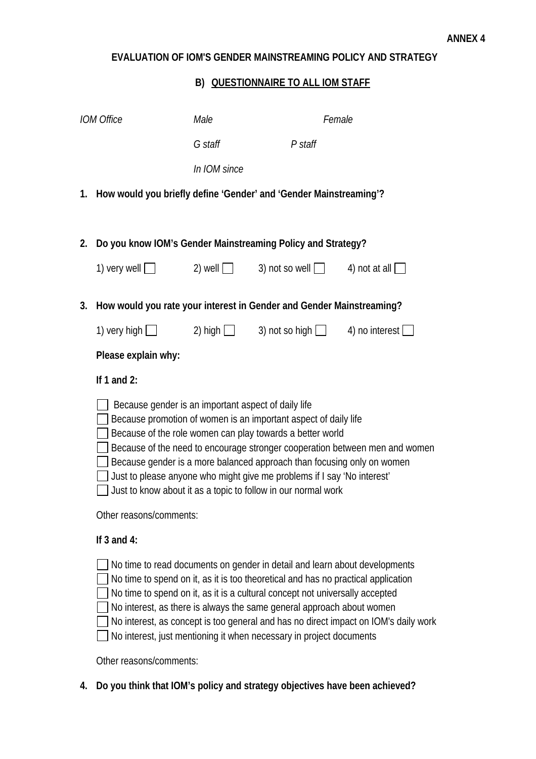# **EVALUATION OF IOM'S GENDER MAINSTREAMING POLICY AND STRATEGY**

# **B) QUESTIONNAIRE TO ALL IOM STAFF**

|    | <b>IOM Office</b>                                                    | Male           | Female                                                                                                                                                                                                                                                                                                                                                                                          |                                                                                     |
|----|----------------------------------------------------------------------|----------------|-------------------------------------------------------------------------------------------------------------------------------------------------------------------------------------------------------------------------------------------------------------------------------------------------------------------------------------------------------------------------------------------------|-------------------------------------------------------------------------------------|
|    |                                                                      | G staff        | P staff                                                                                                                                                                                                                                                                                                                                                                                         |                                                                                     |
|    |                                                                      | In IOM since   |                                                                                                                                                                                                                                                                                                                                                                                                 |                                                                                     |
|    | 1. How would you briefly define 'Gender' and 'Gender Mainstreaming'? |                |                                                                                                                                                                                                                                                                                                                                                                                                 |                                                                                     |
| 2. | Do you know IOM's Gender Mainstreaming Policy and Strategy?          |                |                                                                                                                                                                                                                                                                                                                                                                                                 |                                                                                     |
|    | 1) very well $\Box$                                                  |                | 2) well $\Box$ 3) not so well $\Box$ 4) not at all $\Box$                                                                                                                                                                                                                                                                                                                                       |                                                                                     |
| 3. | How would you rate your interest in Gender and Gender Mainstreaming? |                |                                                                                                                                                                                                                                                                                                                                                                                                 |                                                                                     |
|    | 1) very high $\Box$                                                  | 2) high $\Box$ | 3) not so high $\Box$                                                                                                                                                                                                                                                                                                                                                                           | 4) no interest $\lfloor$                                                            |
|    | Please explain why:                                                  |                |                                                                                                                                                                                                                                                                                                                                                                                                 |                                                                                     |
|    | If 1 and 2:                                                          |                |                                                                                                                                                                                                                                                                                                                                                                                                 |                                                                                     |
|    | Because gender is an important aspect of daily life                  |                | Because promotion of women is an important aspect of daily life<br>Because of the role women can play towards a better world<br>Because gender is a more balanced approach than focusing only on women<br>Just to please anyone who might give me problems if I say 'No interest'<br>Just to know about it as a topic to follow in our normal work                                              | Because of the need to encourage stronger cooperation between men and women         |
|    | Other reasons/comments:                                              |                |                                                                                                                                                                                                                                                                                                                                                                                                 |                                                                                     |
|    | If $3$ and $4$ :                                                     |                |                                                                                                                                                                                                                                                                                                                                                                                                 |                                                                                     |
|    |                                                                      |                | No time to read documents on gender in detail and learn about developments<br>No time to spend on it, as it is too theoretical and has no practical application<br>No time to spend on it, as it is a cultural concept not universally accepted<br>No interest, as there is always the same general approach about women<br>No interest, just mentioning it when necessary in project documents | No interest, as concept is too general and has no direct impact on IOM's daily work |
|    | Other reasons/comments:                                              |                |                                                                                                                                                                                                                                                                                                                                                                                                 |                                                                                     |

**4. Do you think that IOM's policy and strategy objectives have been achieved?**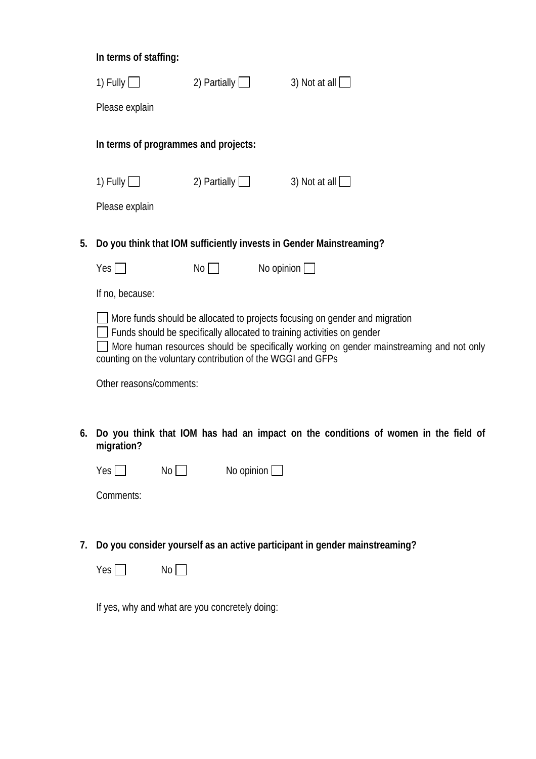|    | In terms of staffing:                |                     |                                                                     |
|----|--------------------------------------|---------------------|---------------------------------------------------------------------|
|    | 1) Fully $\Box$                      | 2) Partially $\Box$ | 3) Not at all $\Box$                                                |
|    | Please explain                       |                     |                                                                     |
|    | In terms of programmes and projects: |                     |                                                                     |
|    | 1) Fully $\Box$                      | 2) Partially $\Box$ | 3) Not at all $  \cdot  $                                           |
|    | Please explain                       |                     |                                                                     |
| 5. |                                      |                     | Do you think that IOM sufficiently invests in Gender Mainstreaming? |

| Yes $\Box$ | No | No opinion $\Box$ |
|------------|----|-------------------|
|------------|----|-------------------|

If no, because:

More funds should be allocated to projects focusing on gender and migration

Funds should be specifically allocated to training activities on gender

More human resources should be specifically working on gender mainstreaming and not only counting on the voluntary contribution of the WGGI and GFPs

Other reasons/comments:

**6. Do you think that IOM has had an impact on the conditions of women in the field of migration?** 

| Yes $\Box$ | No | No opinion $\Box$ |
|------------|----|-------------------|
|------------|----|-------------------|

Comments:

**7. Do you consider yourself as an active participant in gender mainstreaming?** 

| Yes | No |  |
|-----|----|--|
|-----|----|--|

If yes, why and what are you concretely doing: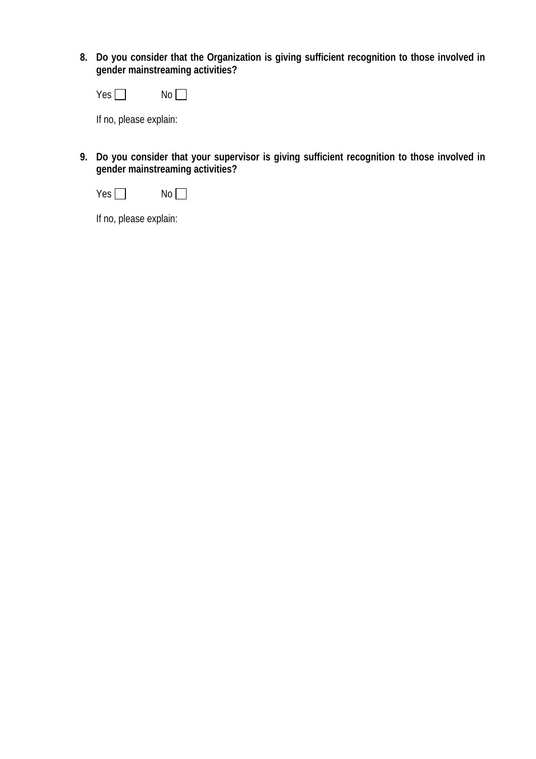**8. Do you consider that the Organization is giving sufficient recognition to those involved in gender mainstreaming activities?** 

| γ<br>$\sim$<br>EN. | No |
|--------------------|----|
|--------------------|----|

If no, please explain:

**9. Do you consider that your supervisor is giving sufficient recognition to those involved in gender mainstreaming activities?** 



If no, please explain: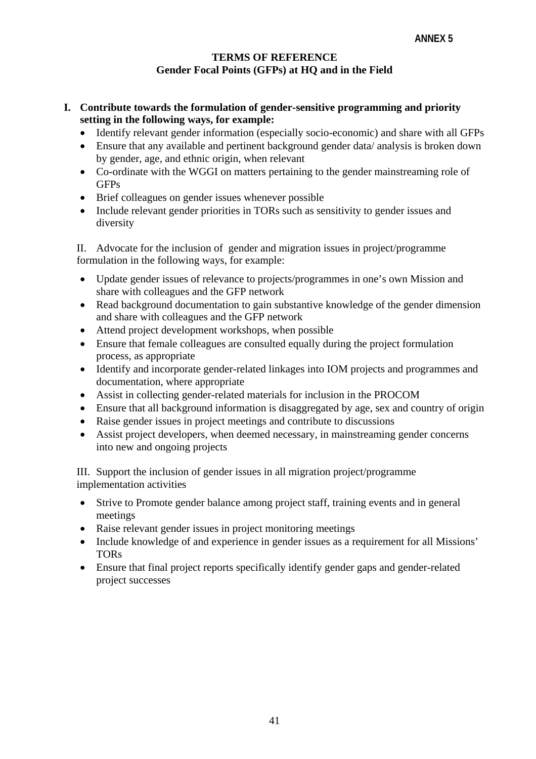### **TERMS OF REFERENCE Gender Focal Points (GFPs) at HQ and in the Field**

- **I. Contribute towards the formulation of gender-sensitive programming and priority setting in the following ways, for example:** 
	- Identify relevant gender information (especially socio-economic) and share with all GFPs
	- Ensure that any available and pertinent background gender data/ analysis is broken down by gender, age, and ethnic origin, when relevant
	- Co-ordinate with the WGGI on matters pertaining to the gender mainstreaming role of **GFPs**
	- Brief colleagues on gender issues whenever possible
	- Include relevant gender priorities in TORs such as sensitivity to gender issues and diversity

II. Advocate for the inclusion of gender and migration issues in project/programme formulation in the following ways, for example:

- Update gender issues of relevance to projects/programmes in one's own Mission and share with colleagues and the GFP network
- Read background documentation to gain substantive knowledge of the gender dimension and share with colleagues and the GFP network
- Attend project development workshops, when possible
- Ensure that female colleagues are consulted equally during the project formulation process, as appropriate
- Identify and incorporate gender-related linkages into IOM projects and programmes and documentation, where appropriate
- Assist in collecting gender-related materials for inclusion in the PROCOM
- Ensure that all background information is disaggregated by age, sex and country of origin
- Raise gender issues in project meetings and contribute to discussions
- Assist project developers, when deemed necessary, in mainstreaming gender concerns into new and ongoing projects

III. Support the inclusion of gender issues in all migration project/programme implementation activities

- Strive to Promote gender balance among project staff, training events and in general meetings
- Raise relevant gender issues in project monitoring meetings
- Include knowledge of and experience in gender issues as a requirement for all Missions' TORs
- Ensure that final project reports specifically identify gender gaps and gender-related project successes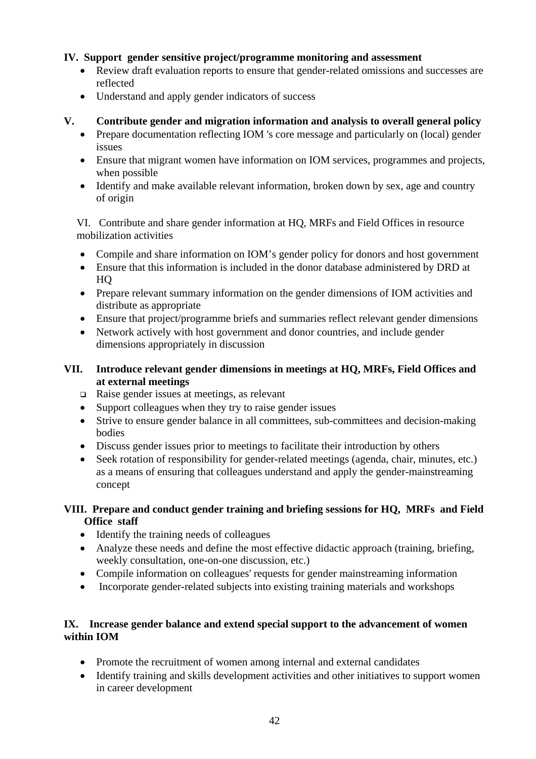# **IV. Support gender sensitive project/programme monitoring and assessment**

- Review draft evaluation reports to ensure that gender-related omissions and successes are reflected
- Understand and apply gender indicators of success

### **V. Contribute gender and migration information and analysis to overall general policy**

- Prepare documentation reflecting IOM 's core message and particularly on (local) gender issues
- Ensure that migrant women have information on IOM services, programmes and projects, when possible
- Identify and make available relevant information, broken down by sex, age and country of origin

VI. Contribute and share gender information at HQ, MRFs and Field Offices in resource mobilization activities

- Compile and share information on IOM's gender policy for donors and host government
- Ensure that this information is included in the donor database administered by DRD at HQ
- Prepare relevant summary information on the gender dimensions of IOM activities and distribute as appropriate
- Ensure that project/programme briefs and summaries reflect relevant gender dimensions
- Network actively with host government and donor countries, and include gender dimensions appropriately in discussion

# **VII. Introduce relevant gender dimensions in meetings at HQ, MRFs, Field Offices and at external meetings**

- $\Box$  Raise gender issues at meetings, as relevant
- Support colleagues when they try to raise gender issues
- Strive to ensure gender balance in all committees, sub-committees and decision-making bodies
- Discuss gender issues prior to meetings to facilitate their introduction by others
- Seek rotation of responsibility for gender-related meetings (agenda, chair, minutes, etc.) as a means of ensuring that colleagues understand and apply the gender-mainstreaming concept

# **VIII. Prepare and conduct gender training and briefing sessions for HQ, MRFs and Field Office staff**

- Identify the training needs of colleagues
- Analyze these needs and define the most effective didactic approach (training, briefing, weekly consultation, one-on-one discussion, etc.)
- Compile information on colleagues' requests for gender mainstreaming information
- Incorporate gender-related subjects into existing training materials and workshops

# **IX. Increase gender balance and extend special support to the advancement of women within IOM**

- Promote the recruitment of women among internal and external candidates
- Identify training and skills development activities and other initiatives to support women in career development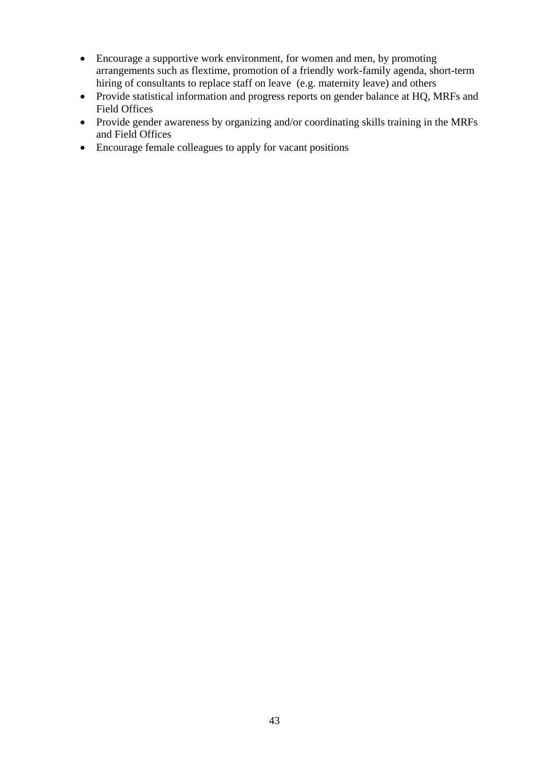- Encourage a supportive work environment, for women and men, by promoting arrangements such as flextime, promotion of a friendly work-family agenda, short-term hiring of consultants to replace staff on leave (e.g. maternity leave) and others
- Provide statistical information and progress reports on gender balance at HQ, MRFs and Field Offices
- Provide gender awareness by organizing and/or coordinating skills training in the MRFs and Field Offices
- Encourage female colleagues to apply for vacant positions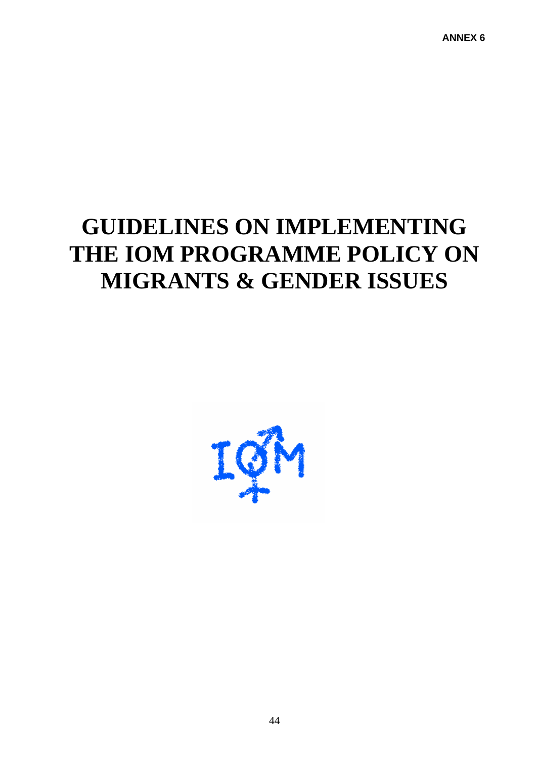# **GUIDELINES ON IMPLEMENTING THE IOM PROGRAMME POLICY ON MIGRANTS & GENDER ISSUES**

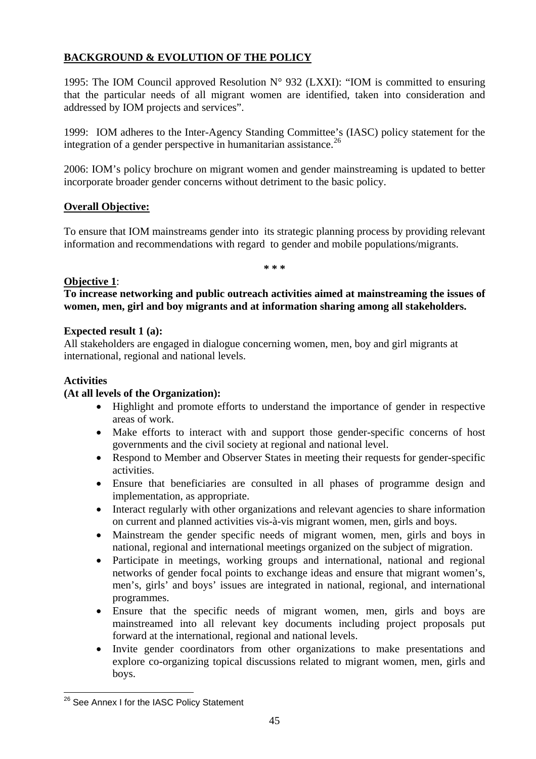# **BACKGROUND & EVOLUTION OF THE POLICY**

1995: The IOM Council approved Resolution  $N^{\circ}$  932 (LXXI): "IOM is committed to ensuring that the particular needs of all migrant women are identified, taken into consideration and addressed by IOM projects and services".

1999: IOM adheres to the Inter-Agency Standing Committee's (IASC) policy statement for the integration of a gender perspective in humanitarian assistance.<sup>[26](#page-47-0)</sup>

2006: IOM's policy brochure on migrant women and gender mainstreaming is updated to better incorporate broader gender concerns without detriment to the basic policy.

# **Overall Objective:**

To ensure that IOM mainstreams gender into its strategic planning process by providing relevant information and recommendations with regard to gender and mobile populations/migrants.

**\* \* \*** 

# **Objective 1**:

**To increase networking and public outreach activities aimed at mainstreaming the issues of women, men, girl and boy migrants and at information sharing among all stakeholders.** 

# **Expected result 1 (a):**

All stakeholders are engaged in dialogue concerning women, men, boy and girl migrants at international, regional and national levels.

# **Activities**

 $\overline{a}$ 

# **(At all levels of the Organization):**

- Highlight and promote efforts to understand the importance of gender in respective areas of work.
- Make efforts to interact with and support those gender-specific concerns of host governments and the civil society at regional and national level.
- Respond to Member and Observer States in meeting their requests for gender-specific activities.
- Ensure that beneficiaries are consulted in all phases of programme design and implementation, as appropriate.
- Interact regularly with other organizations and relevant agencies to share information on current and planned activities vis-à-vis migrant women, men, girls and boys.
- Mainstream the gender specific needs of migrant women, men, girls and boys in national, regional and international meetings organized on the subject of migration.
- Participate in meetings, working groups and international, national and regional networks of gender focal points to exchange ideas and ensure that migrant women's, men's, girls' and boys' issues are integrated in national, regional, and international programmes.
- Ensure that the specific needs of migrant women, men, girls and boys are mainstreamed into all relevant key documents including project proposals put forward at the international, regional and national levels.
- Invite gender coordinators from other organizations to make presentations and explore co-organizing topical discussions related to migrant women, men, girls and boys.

<span id="page-47-0"></span><sup>&</sup>lt;sup>26</sup> See Annex I for the IASC Policy Statement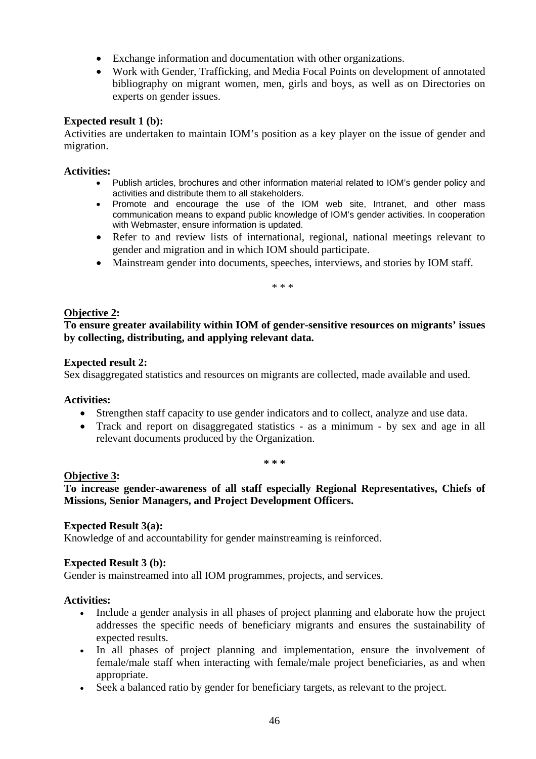- Exchange information and documentation with other organizations.
- Work with Gender, Trafficking, and Media Focal Points on development of annotated bibliography on migrant women, men, girls and boys, as well as on Directories on experts on gender issues.

### **Expected result 1 (b):**

Activities are undertaken to maintain IOM's position as a key player on the issue of gender and migration.

### **Activities:**

- Publish articles, brochures and other information material related to IOM's gender policy and activities and distribute them to all stakeholders.
- Promote and encourage the use of the IOM web site, Intranet, and other mass communication means to expand public knowledge of IOM's gender activities. In cooperation with Webmaster, ensure information is updated.
- Refer to and review lists of international, regional, national meetings relevant to gender and migration and in which IOM should participate.
- Mainstream gender into documents, speeches, interviews, and stories by IOM staff.

\* \* \*

### **Objective 2:**

**To ensure greater availability within IOM of gender-sensitive resources on migrants' issues by collecting, distributing, and applying relevant data.** 

### **Expected result 2:**

Sex disaggregated statistics and resources on migrants are collected, made available and used.

### **Activities:**

- Strengthen staff capacity to use gender indicators and to collect, analyze and use data.
- Track and report on disaggregated statistics as a minimum by sex and age in all relevant documents produced by the Organization.

**\* \* \*** 

### **Objective 3:**

**To increase gender-awareness of all staff especially Regional Representatives, Chiefs of Missions, Senior Managers, and Project Development Officers.** 

### **Expected Result 3(a):**

Knowledge of and accountability for gender mainstreaming is reinforced.

### **Expected Result 3 (b):**

Gender is mainstreamed into all IOM programmes, projects, and services.

### **Activities:**

- Include a gender analysis in all phases of project planning and elaborate how the project addresses the specific needs of beneficiary migrants and ensures the sustainability of expected results.
- In all phases of project planning and implementation, ensure the involvement of female/male staff when interacting with female/male project beneficiaries, as and when appropriate.
- Seek a balanced ratio by gender for beneficiary targets, as relevant to the project.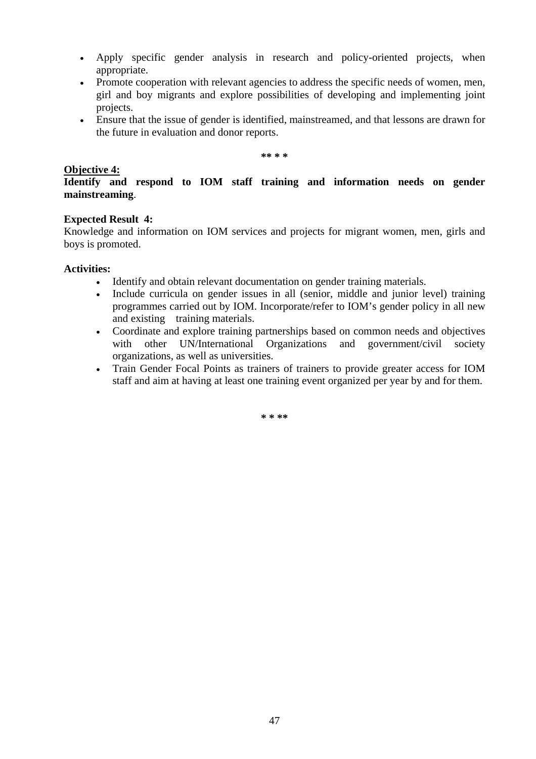- Apply specific gender analysis in research and policy-oriented projects, when appropriate.
- Promote cooperation with relevant agencies to address the specific needs of women, men, girl and boy migrants and explore possibilities of developing and implementing joint projects.
- Ensure that the issue of gender is identified, mainstreamed, and that lessons are drawn for the future in evaluation and donor reports.

**\*\* \* \*** 

### **Objective 4:**

**Identify and respond to IOM staff training and information needs on gender mainstreaming**.

### **Expected Result 4:**

Knowledge and information on IOM services and projects for migrant women, men, girls and boys is promoted.

### **Activities:**

- Identify and obtain relevant documentation on gender training materials.
- Include curricula on gender issues in all (senior, middle and junior level) training programmes carried out by IOM. Incorporate/refer to IOM's gender policy in all new and existing training materials.
- Coordinate and explore training partnerships based on common needs and objectives with other UN/International Organizations and government/civil society organizations, as well as universities.
- Train Gender Focal Points as trainers of trainers to provide greater access for IOM staff and aim at having at least one training event organized per year by and for them.

**\* \* \*\***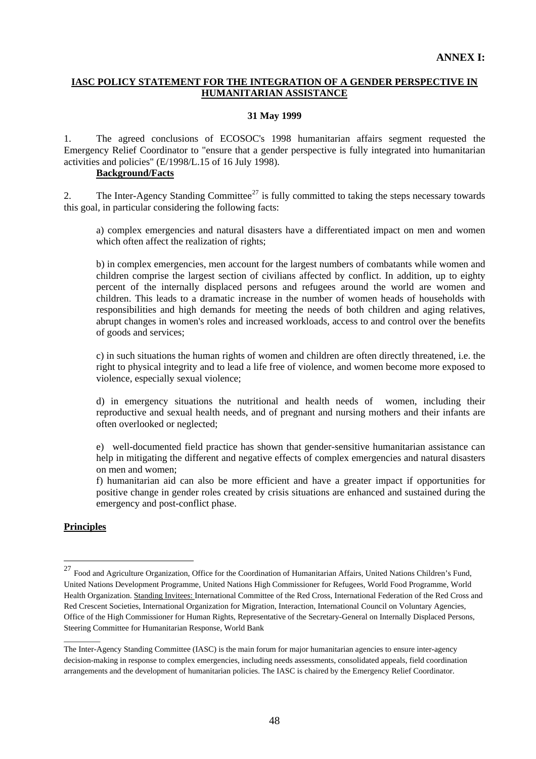### **IASC POLICY STATEMENT FOR THE INTEGRATION OF A GENDER PERSPECTIVE IN HUMANITARIAN ASSISTANCE**

### **31 May 1999**

1. The agreed conclusions of ECOSOC's 1998 humanitarian affairs segment requested the Emergency Relief Coordinator to "ensure that a gender perspective is fully integrated into humanitarian activities and policies" (E/1998/L.15 of 16 July 1998).

### **Background/Facts**

2. The Inter-Agency Standing Committee<sup>[27](#page-50-0)</sup> is fully committed to taking the steps necessary towards this goal, in particular considering the following facts:

a) complex emergencies and natural disasters have a differentiated impact on men and women which often affect the realization of rights;

b) in complex emergencies, men account for the largest numbers of combatants while women and children comprise the largest section of civilians affected by conflict. In addition, up to eighty percent of the internally displaced persons and refugees around the world are women and children. This leads to a dramatic increase in the number of women heads of households with responsibilities and high demands for meeting the needs of both children and aging relatives, abrupt changes in women's roles and increased workloads, access to and control over the benefits of goods and services;

c) in such situations the human rights of women and children are often directly threatened, i.e. the right to physical integrity and to lead a life free of violence, and women become more exposed to violence, especially sexual violence;

d) in emergency situations the nutritional and health needs of women, including their reproductive and sexual health needs, and of pregnant and nursing mothers and their infants are often overlooked or neglected;

e) well-documented field practice has shown that gender-sensitive humanitarian assistance can help in mitigating the different and negative effects of complex emergencies and natural disasters on men and women;

f) humanitarian aid can also be more efficient and have a greater impact if opportunities for positive change in gender roles created by crisis situations are enhanced and sustained during the emergency and post-conflict phase.

### **Principles**

 $\overline{\phantom{a}}$   $\overline{\phantom{a}}$ 

 $\overline{a}$ 

<span id="page-50-0"></span> $^{27}$  Food and Agriculture Organization, Office for the Coordination of Humanitarian Affairs, United Nations Children's Fund, United Nations Development Programme, United Nations High Commissioner for Refugees, World Food Programme, World Health Organization. Standing Invitees: International Committee of the Red Cross, International Federation of the Red Cross and Red Crescent Societies, International Organization for Migration, Interaction, International Council on Voluntary Agencies, Office of the High Commissioner for Human Rights, Representative of the Secretary-General on Internally Displaced Persons, Steering Committee for Humanitarian Response, World Bank

The Inter-Agency Standing Committee (IASC) is the main forum for major humanitarian agencies to ensure inter-agency decision-making in response to complex emergencies, including needs assessments, consolidated appeals, field coordination arrangements and the development of humanitarian policies. The IASC is chaired by the Emergency Relief Coordinator.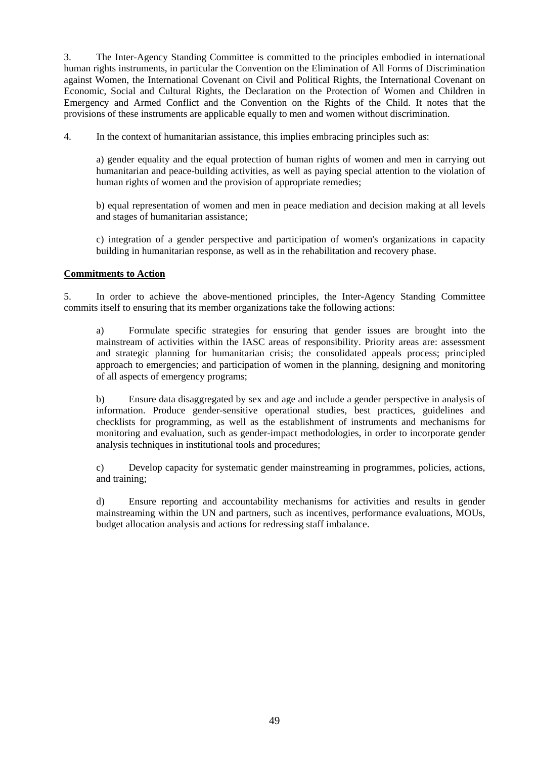3. The Inter-Agency Standing Committee is committed to the principles embodied in international human rights instruments, in particular the Convention on the Elimination of All Forms of Discrimination against Women, the International Covenant on Civil and Political Rights, the International Covenant on Economic, Social and Cultural Rights, the Declaration on the Protection of Women and Children in Emergency and Armed Conflict and the Convention on the Rights of the Child. It notes that the provisions of these instruments are applicable equally to men and women without discrimination.

4. In the context of humanitarian assistance, this implies embracing principles such as:

a) gender equality and the equal protection of human rights of women and men in carrying out humanitarian and peace-building activities, as well as paying special attention to the violation of human rights of women and the provision of appropriate remedies;

b) equal representation of women and men in peace mediation and decision making at all levels and stages of humanitarian assistance;

c) integration of a gender perspective and participation of women's organizations in capacity building in humanitarian response, as well as in the rehabilitation and recovery phase.

### **Commitments to Action**

5. In order to achieve the above-mentioned principles, the Inter-Agency Standing Committee commits itself to ensuring that its member organizations take the following actions:

a) Formulate specific strategies for ensuring that gender issues are brought into the mainstream of activities within the IASC areas of responsibility. Priority areas are: assessment and strategic planning for humanitarian crisis; the consolidated appeals process; principled approach to emergencies; and participation of women in the planning, designing and monitoring of all aspects of emergency programs;

 b) Ensure data disaggregated by sex and age and include a gender perspective in analysis of information. Produce gender-sensitive operational studies, best practices, guidelines and checklists for programming, as well as the establishment of instruments and mechanisms for monitoring and evaluation, such as gender-impact methodologies, in order to incorporate gender analysis techniques in institutional tools and procedures;

c) Develop capacity for systematic gender mainstreaming in programmes, policies, actions, and training;

d) Ensure reporting and accountability mechanisms for activities and results in gender mainstreaming within the UN and partners, such as incentives, performance evaluations, MOUs, budget allocation analysis and actions for redressing staff imbalance.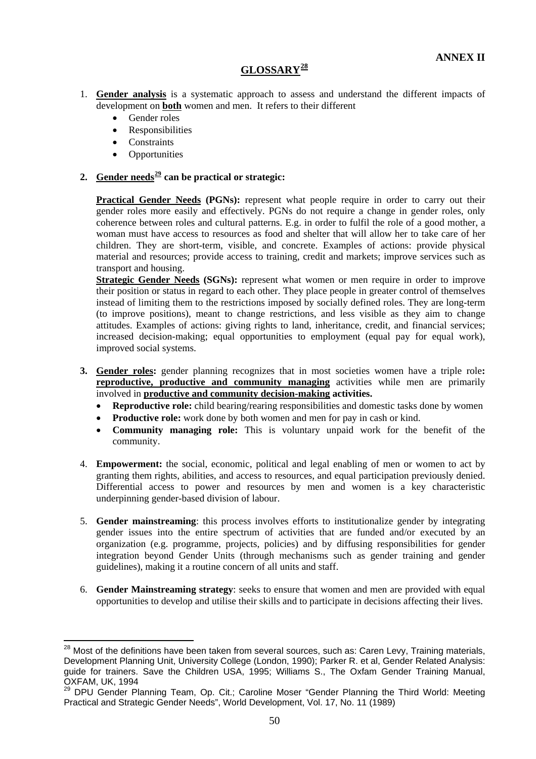# **GLOSSARY[28](#page-52-0)**

- 1. **Gender analysis** is a systematic approach to assess and understand the different impacts of development on **both** women and men. It refers to their different
	- Gender roles
	- Responsibilities
	- **Constraints**

 $\overline{a}$ 

**Opportunities** 

# **2. Gender needs[29](#page-52-1) can be practical or strategic:**

**Practical Gender Needs (PGNs):** represent what people require in order to carry out their gender roles more easily and effectively. PGNs do not require a change in gender roles, only coherence between roles and cultural patterns. E.g. in order to fulfil the role of a good mother, a woman must have access to resources as food and shelter that will allow her to take care of her children. They are short-term, visible, and concrete. Examples of actions: provide physical material and resources; provide access to training, credit and markets; improve services such as transport and housing.

**Strategic Gender Needs (SGNs):** represent what women or men require in order to improve their position or status in regard to each other. They place people in greater control of themselves instead of limiting them to the restrictions imposed by socially defined roles. They are long-term (to improve positions), meant to change restrictions, and less visible as they aim to change attitudes. Examples of actions: giving rights to land, inheritance, credit, and financial services; increased decision-making; equal opportunities to employment (equal pay for equal work), improved social systems.

- **3. Gender roles:** gender planning recognizes that in most societies women have a triple role**: reproductive, productive and community managing** activities while men are primarily involved in **productive and community decision-making activities.** 
	- **Reproductive role:** child bearing/rearing responsibilities and domestic tasks done by women
	- **Productive role:** work done by both women and men for pay in cash or kind.
	- **Community managing role:** This is voluntary unpaid work for the benefit of the community.
- 4. **Empowerment:** the social, economic, political and legal enabling of men or women to act by granting them rights, abilities, and access to resources, and equal participation previously denied. Differential access to power and resources by men and women is a key characteristic underpinning gender-based division of labour.
- 5. **Gender mainstreaming**: this process involves efforts to institutionalize gender by integrating gender issues into the entire spectrum of activities that are funded and/or executed by an organization (e.g. programme, projects, policies) and by diffusing responsibilities for gender integration beyond Gender Units (through mechanisms such as gender training and gender guidelines), making it a routine concern of all units and staff.
- 6. **Gender Mainstreaming strategy**: seeks to ensure that women and men are provided with equal opportunities to develop and utilise their skills and to participate in decisions affecting their lives.

<span id="page-52-0"></span> $^{28}$  Most of the definitions have been taken from several sources, such as: Caren Levy, Training materials, Development Planning Unit, University College (London, 1990); Parker R. et al, Gender Related Analysis: guide for trainers. Save the Children USA, 1995; Williams S., The Oxfam Gender Training Manual, OXFAM, UK, 1994

<span id="page-52-1"></span><sup>29</sup> DPU Gender Planning Team, Op. Cit.; Caroline Moser "Gender Planning the Third World: Meeting Practical and Strategic Gender Needs", World Development, Vol. 17, No. 11 (1989)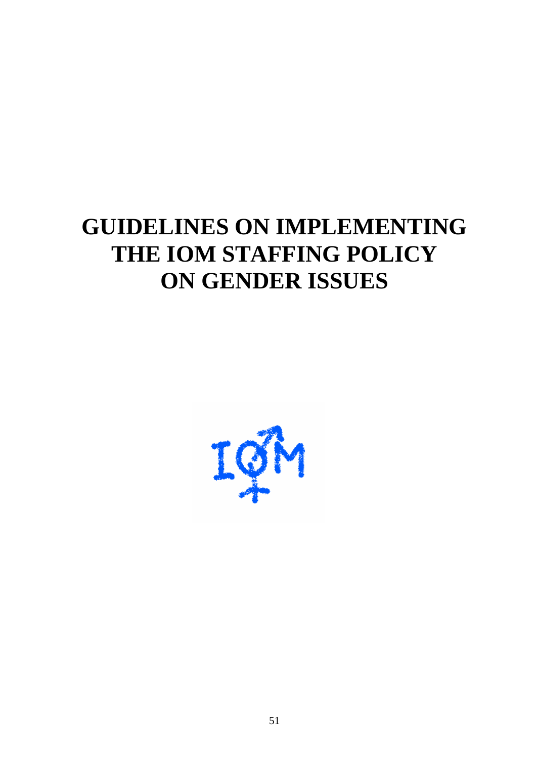# **GUIDELINES ON IMPLEMENTING THE IOM STAFFING POLICY ON GENDER ISSUES**

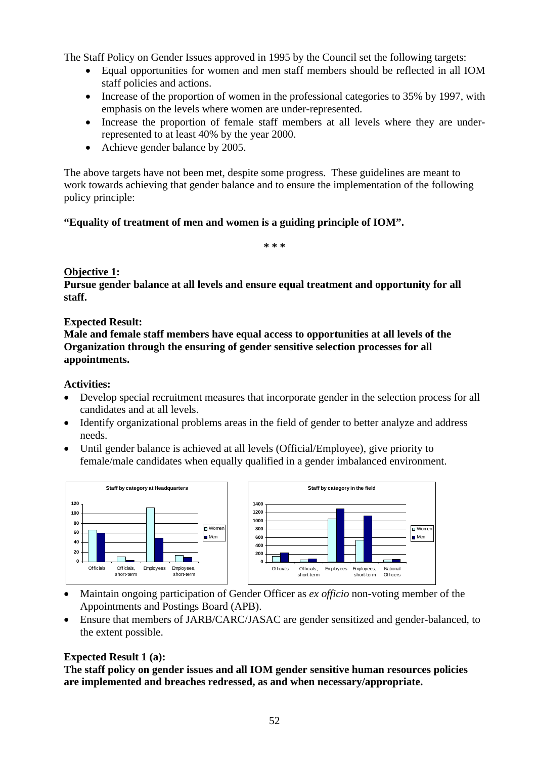The Staff Policy on Gender Issues approved in 1995 by the Council set the following targets:

- Equal opportunities for women and men staff members should be reflected in all IOM staff policies and actions.
- Increase of the proportion of women in the professional categories to 35% by 1997, with emphasis on the levels where women are under-represented.
- Increase the proportion of female staff members at all levels where they are underrepresented to at least 40% by the year 2000.
- Achieve gender balance by 2005.

The above targets have not been met, despite some progress. These guidelines are meant to work towards achieving that gender balance and to ensure the implementation of the following policy principle:

# **"Equality of treatment of men and women is a guiding principle of IOM".**

**\* \* \*** 

# **Objective 1:**

**Pursue gender balance at all levels and ensure equal treatment and opportunity for all staff.** 

### **Expected Result:**

**Male and female staff members have equal access to opportunities at all levels of the Organization through the ensuring of gender sensitive selection processes for all appointments.** 

# **Activities:**

- Develop special recruitment measures that incorporate gender in the selection process for all candidates and at all levels.
- Identify organizational problems areas in the field of gender to better analyze and address needs.
- Until gender balance is achieved at all levels (Official/Employee), give priority to female/male candidates when equally qualified in a gender imbalanced environment.



- Maintain ongoing participation of Gender Officer as *ex officio* non-voting member of the Appointments and Postings Board (APB).
- Ensure that members of JARB/CARC/JASAC are gender sensitized and gender-balanced, to the extent possible.

# **Expected Result 1 (a):**

**The staff policy on gender issues and all IOM gender sensitive human resources policies are implemented and breaches redressed, as and when necessary/appropriate.**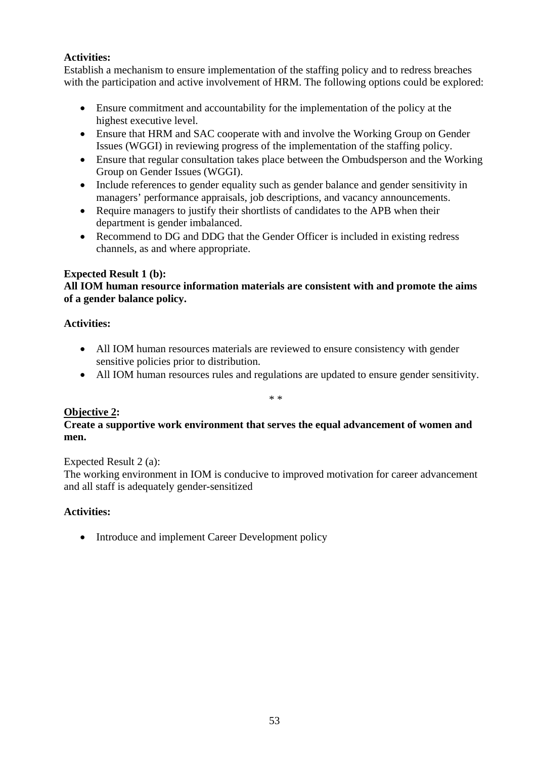# **Activities:**

Establish a mechanism to ensure implementation of the staffing policy and to redress breaches with the participation and active involvement of HRM. The following options could be explored:

- Ensure commitment and accountability for the implementation of the policy at the highest executive level.
- Ensure that HRM and SAC cooperate with and involve the Working Group on Gender Issues (WGGI) in reviewing progress of the implementation of the staffing policy.
- Ensure that regular consultation takes place between the Ombudsperson and the Working Group on Gender Issues (WGGI).
- Include references to gender equality such as gender balance and gender sensitivity in managers' performance appraisals, job descriptions, and vacancy announcements.
- Require managers to justify their shortlists of candidates to the APB when their department is gender imbalanced.
- Recommend to DG and DDG that the Gender Officer is included in existing redress channels, as and where appropriate.

# **Expected Result 1 (b):**

# **All IOM human resource information materials are consistent with and promote the aims of a gender balance policy.**

# **Activities:**

- All IOM human resources materials are reviewed to ensure consistency with gender sensitive policies prior to distribution.
- All IOM human resources rules and regulations are updated to ensure gender sensitivity.

\* \*

# **Objective 2:**

# **Create a supportive work environment that serves the equal advancement of women and men.**

Expected Result 2 (a):

The working environment in IOM is conducive to improved motivation for career advancement and all staff is adequately gender-sensitized

# **Activities:**

• Introduce and implement Career Development policy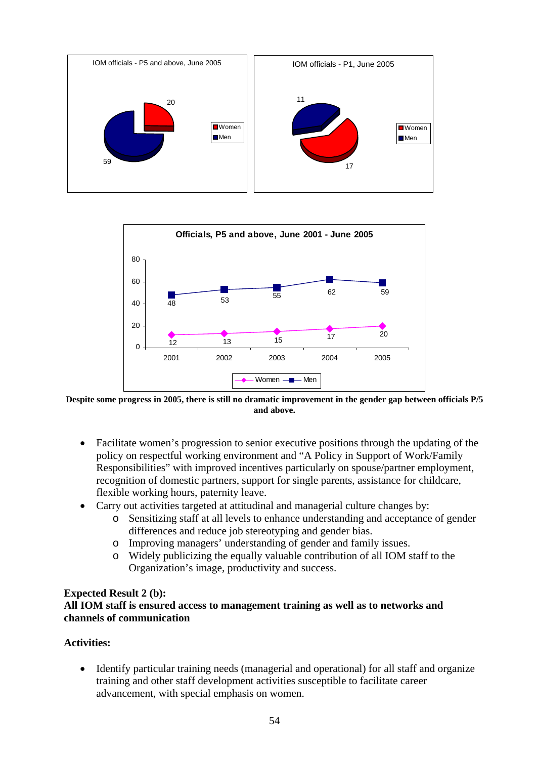



**Despite some progress in 2005, there is still no dramatic improvement in the gender gap between officials P/5 and above.** 

- Facilitate women's progression to senior executive positions through the updating of the policy on respectful working environment and "A Policy in Support of Work/Family Responsibilities" with improved incentives particularly on spouse/partner employment, recognition of domestic partners, support for single parents, assistance for childcare, flexible working hours, paternity leave.
- Carry out activities targeted at attitudinal and managerial culture changes by:
	- o Sensitizing staff at all levels to enhance understanding and acceptance of gender differences and reduce job stereotyping and gender bias.
	- o Improving managers' understanding of gender and family issues.
	- o Widely publicizing the equally valuable contribution of all IOM staff to the Organization's image, productivity and success.

### **Expected Result 2 (b):**

# **All IOM staff is ensured access to management training as well as to networks and channels of communication**

# **Activities:**

• Identify particular training needs (managerial and operational) for all staff and organize training and other staff development activities susceptible to facilitate career advancement, with special emphasis on women.